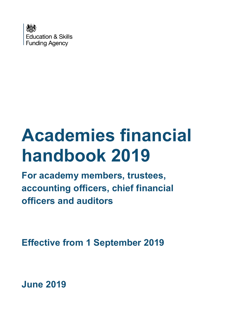

# **Academies financial handbook 2019**

**For academy members, trustees, accounting officers, chief financial officers and auditors**

**Effective from 1 September 2019**

**June 2019**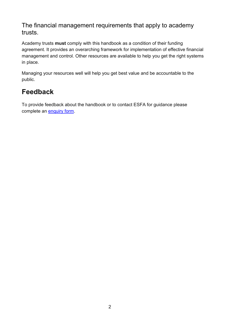The financial management requirements that apply to academy trusts.

Academy trusts **must** comply with this handbook as a condition of their funding agreement. It provides an overarching framework for implementation of effective financial management and control. Other resources are available to help you get the right systems in place.

Managing your resources well will help you get best value and be accountable to the public.

# **Feedback**

To provide feedback about the handbook or to contact ESFA for guidance please complete an **enquiry form**.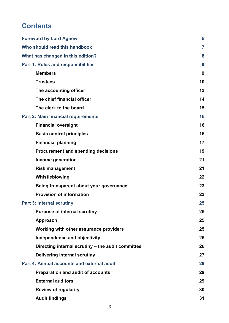# **Contents**

| <b>Foreword by Lord Agnew</b>                     | 5              |
|---------------------------------------------------|----------------|
| Who should read this handbook                     | $\overline{7}$ |
| What has changed in this edition?                 | 8              |
| <b>Part 1: Roles and responsibilities</b>         | 9              |
| <b>Members</b>                                    | 9              |
| <b>Trustees</b>                                   | 10             |
| The accounting officer                            | 13             |
| The chief financial officer                       | 14             |
| The clerk to the board                            | 15             |
| <b>Part 2: Main financial requirements</b>        | 16             |
| <b>Financial oversight</b>                        | 16             |
| <b>Basic control principles</b>                   | 16             |
| <b>Financial planning</b>                         | 17             |
| <b>Procurement and spending decisions</b>         | 19             |
| Income generation                                 | 21             |
| <b>Risk management</b>                            | 21             |
| Whistleblowing                                    | 22             |
| Being transparent about your governance           | 23             |
| <b>Provision of information</b>                   | 23             |
| <b>Part 3: Internal scrutiny</b>                  | 25             |
| <b>Purpose of internal scrutiny</b>               | 25             |
| Approach                                          | 25             |
| Working with other assurance providers            | 25             |
| Independence and objectivity                      | 25             |
| Directing internal scrutiny - the audit committee | 26             |
| <b>Delivering internal scrutiny</b>               | 27             |
| Part 4: Annual accounts and external audit        | 29             |
| <b>Preparation and audit of accounts</b>          | 29             |
| <b>External auditors</b>                          | 29             |
| <b>Review of regularity</b>                       | 30             |
| <b>Audit findings</b>                             | 31             |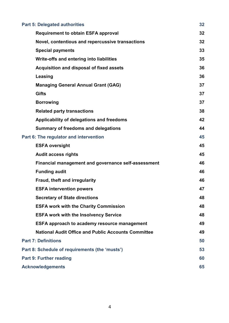| <b>Part 5: Delegated authorities</b>                       | 32 |
|------------------------------------------------------------|----|
| <b>Requirement to obtain ESFA approval</b>                 | 32 |
| Novel, contentious and repercussive transactions           | 32 |
| <b>Special payments</b>                                    | 33 |
| Write-offs and entering into liabilities                   | 35 |
| Acquisition and disposal of fixed assets                   | 36 |
| <b>Leasing</b>                                             | 36 |
| <b>Managing General Annual Grant (GAG)</b>                 | 37 |
| <b>Gifts</b>                                               | 37 |
| <b>Borrowing</b>                                           | 37 |
| <b>Related party transactions</b>                          | 38 |
| Applicability of delegations and freedoms                  | 42 |
| <b>Summary of freedoms and delegations</b>                 | 44 |
| Part 6: The regulator and intervention                     | 45 |
| <b>ESFA oversight</b>                                      | 45 |
| <b>Audit access rights</b>                                 | 45 |
| <b>Financial management and governance self-assessment</b> | 46 |
| <b>Funding audit</b>                                       | 46 |
| Fraud, theft and irregularity                              | 46 |
| <b>ESFA intervention powers</b>                            | 47 |
| <b>Secretary of State directions</b>                       | 48 |
| <b>ESFA work with the Charity Commission</b>               | 48 |
| <b>ESFA work with the Insolvency Service</b>               | 48 |
| <b>ESFA approach to academy resource management</b>        | 49 |
| <b>National Audit Office and Public Accounts Committee</b> | 49 |
| <b>Part 7: Definitions</b>                                 | 50 |
| Part 8: Schedule of requirements (the 'musts')             | 53 |
| <b>Part 9: Further reading</b>                             | 60 |
| <b>Acknowledgements</b>                                    | 65 |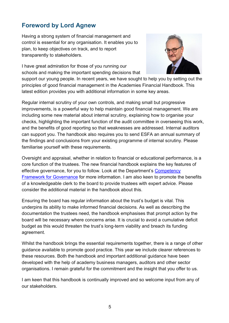# <span id="page-4-0"></span>**Foreword by Lord Agnew**

Having a strong system of financial management and control is essential for any organisation. It enables you to plan, to keep objectives on track, and to report transparently to stakeholders.

I have great admiration for those of you running our schools and making the important spending decisions that



support our young people. In recent years, we have sought to help you by setting out the principles of good financial management in the Academies Financial Handbook. This latest edition provides you with additional information in some key areas.

Regular internal scrutiny of your own controls, and making small but progressive improvements, is a powerful way to help maintain good financial management. We are including some new material about internal scrutiny, explaining how to organise your checks, highlighting the important function of the audit committee in overseeing this work, and the benefits of good reporting so that weaknesses are addressed. Internal auditors can support you. The handbook also requires you to send ESFA an annual summary of the findings and conclusions from your existing programme of internal scrutiny. Please familiarise yourself with these requirements.

Oversight and appraisal, whether in relation to financial or educational performance, is a core function of the trustees. The new financial handbook explains the key features of effective governance, for you to follow. Look at the Department's [Competency](https://www.gov.uk/government/publications/governance-handbook)  [Framework for Governance](https://www.gov.uk/government/publications/governance-handbook) for more information. I am also keen to promote the benefits of a knowledgeable clerk to the board to provide trustees with expert advice. Please consider the additional material in the handbook about this.

Ensuring the board has regular information about the trust's budget is vital. This underpins its ability to make informed financial decisions. As well as describing the documentation the trustees need, the handbook emphasises that prompt action by the board will be necessary where concerns arise. It is crucial to avoid a cumulative deficit budget as this would threaten the trust's long-term viability and breach its funding agreement.

Whilst the handbook brings the essential requirements together, there is a range of other guidance available to promote good practice. This year we include clearer references to these resources. Both the handbook and important additional guidance have been developed with the help of academy business managers, auditors and other sector organisations. I remain grateful for the commitment and the insight that you offer to us.

I am keen that this handbook is continually improved and so welcome input from any of our stakeholders.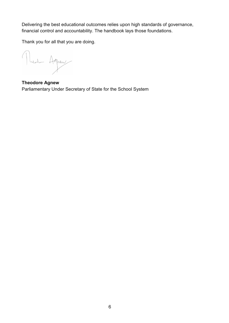Delivering the best educational outcomes relies upon high standards of governance, financial control and accountability. The handbook lays those foundations.

Thank you for all that you are doing.

Muslim Agnew

**Theodore Agnew** Parliamentary Under Secretary of State for the School System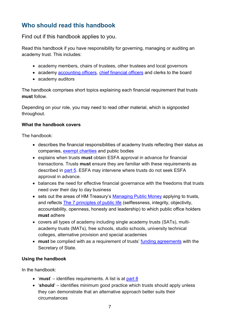# <span id="page-6-0"></span>**Who should read this handbook**

Find out if this handbook applies to you.

Read this handbook if you have responsibility for governing, managing or auditing an academy trust. This includes:

- academy members, chairs of trustees, other trustees and local governors
- academy [accounting officers,](#page-49-1) [chief financial officers](#page-49-2) and clerks to the board
- academy auditors

The handbook comprises short topics explaining each financial requirement that trusts **must** follow.

Depending on your role, you may need to read other material, which is signposted throughout.

## **What the handbook covers**

The handbook:

- describes the financial responsibilities of academy trusts reflecting their status as companies, [exempt charities](https://www.gov.uk/government/publications/regulation-of-schools-and-academies-with-exempt-charity-status) and public bodies
- explains when trusts **must** obtain ESFA approval in advance for financial transactions. Trusts **must** ensure they are familiar with these requirements as described in [part 5.](#page-31-0) ESFA may intervene where trusts do not seek ESFA approval in advance.
- balances the need for effective financial governance with the freedoms that trusts need over their day to day business
- <span id="page-6-1"></span>• sets out the areas of HM Treasury's [Managing Public Money](https://www.gov.uk/government/publications/managing-public-money) applying to trusts, and reflects [The 7 principles of public life](https://www.gov.uk/government/publications/the-7-principles-of-public-life) (selflessness, integrity, objectivity, accountability, openness, honesty and leadership) to which public office holders **must** adhere
- covers all types of academy including single academy trusts (SATs), multiacademy trusts (MATs), free schools, studio schools, university technical colleges, alternative provision and special academies
- **must** be complied with as a requirement of trusts' [funding agreements](#page-50-0) with the Secretary of State.

## **Using the handbook**

In the handbook:

- 'must' identifies requirements. A list is at [part 8](#page-52-0)
- '**should**' identifies minimum good practice which trusts should apply unless they can demonstrate that an alternative approach better suits their circumstances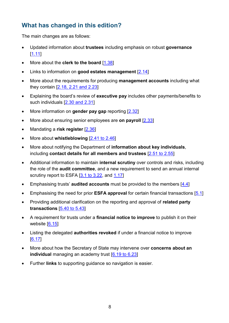# <span id="page-7-0"></span>**What has changed in this edition?**

The main changes are as follows:

- Updated information about **trustees** including emphasis on robust **governance** [\[1.11\]](#page-9-1)
- More about the **clerk to the board** [\[1.38\]](#page-14-0)
- Links to information on **good estates management** [\[2.14\]](#page-16-1)
- More about the requirements for producing **management accounts** including what they contain [\[2.18, 2.21 and 2.23\]](#page-17-0)
- Explaining the board's review of **executive pay** includes other payments/benefits to such individuals [\[2.30 and 2.31\]](#page-19-0)
- More information on **gender pay gap** reporting [\[2.32\]](#page-19-1)
- More about ensuring senior employees are **on payroll** [\[2.33\]](#page-19-2)
- Mandating a **risk register** [\[2.36\]](#page-20-2)
- More about **whistleblowing** [\[2.41 to](#page-21-0) 2.46]
- More about notifying the Department of **information about key individuals**, including **contact details for all members and trustees** [\[2.51 to](#page-23-0) 2.55]
- Additional information to maintain **internal scrutiny** over controls and risks, including the role of the **audit committee**, and a new requirement to send an annual internal scrutiny report to ESFA [\[3.1 to](#page-24-0) 3.22, and [1.17\]](#page-11-0)
- Emphasising trusts' **audited accounts** must be provided to the members [\[4.4\]](#page-28-3)
- Emphasising the need for prior **ESFA approval** for certain financial transactions [\[5.1\]](#page-31-3)
- Providing additional clarification on the reporting and approval of **related party transactions** [\[5.40 to 5.43\]](#page-38-0)
- A requirement for trusts under a **financial notice to improve** to publish it on their website  $[6.15]$
- Listing the delegated **authorities revoked** if under a financial notice to improve [\[6.17\]](#page-46-2)
- More about how the Secretary of State may intervene over **concerns about an individual** managing an academy trust [6.19 [to 6.23\]](#page-47-0)
- Further **links** to supporting guidance so navigation is easier.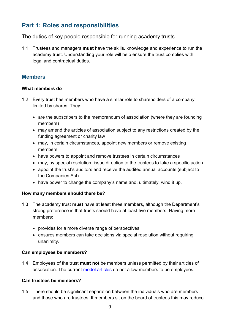# <span id="page-8-0"></span>**Part 1: Roles and responsibilities**

The duties of key people responsible for running academy trusts.

<span id="page-8-2"></span>1.1 Trustees and managers **must** have the skills, knowledge and experience to run the academy trust. Understanding your role will help ensure the trust complies with legal and contractual duties.

## <span id="page-8-1"></span>**Members**

## **What members do**

- 1.2 Every trust has members who have a similar role to shareholders of a company limited by shares. They:
	- are the subscribers to the memorandum of association (where they are founding members)
	- may amend the articles of association subject to any restrictions created by the funding agreement or charity law
	- may, in certain circumstances, appoint new members or remove existing members
	- have powers to appoint and remove trustees in certain circumstances
	- may, by special resolution, issue direction to the trustees to take a specific action
	- appoint the trust's auditors and receive the audited annual accounts (subject to the Companies Act)
	- have power to change the company's name and, ultimately, wind it up.

## **How many members should there be?**

- <span id="page-8-3"></span>1.3 The academy trust **must** have at least three members, although the Department's strong preference is that trusts should have at least five members. Having more members:
	- provides for a more diverse range of perspectives
	- ensures members can take decisions via special resolution without requiring unanimity.

## **Can employees be members?**

<span id="page-8-4"></span>1.4 Employees of the trust **must not** be members unless permitted by their articles of association. The current [model articles](https://www.gov.uk/government/publications/academy-model-memorandum-and-articles-of-association) do not allow members to be employees.

## **Can trustees be members?**

1.5 There should be significant separation between the individuals who are members and those who are trustees. If members sit on the board of trustees this may reduce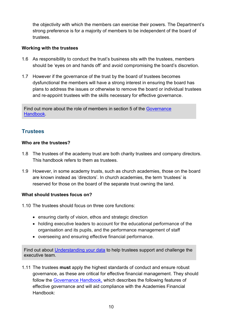the objectivity with which the members can exercise their powers. The Department's strong preference is for a majority of members to be independent of the board of trustees.

## **Working with the trustees**

- 1.6 As responsibility to conduct the trust's business sits with the trustees, members should be 'eyes on and hands off' and avoid compromising the board's discretion.
- 1.7 However if the governance of the trust by the board of trustees becomes dysfunctional the members will have a strong interest in ensuring the board has plans to address the issues or otherwise to remove the board or individual trustees and re-appoint trustees with the skills necessary for effective governance.

Find out more about the role of members in section 5 of the [Governance](https://www.gov.uk/government/publications/governance-handbook)  [Handbook.](https://www.gov.uk/government/publications/governance-handbook)

## <span id="page-9-0"></span>**Trustees**

## **Who are the trustees?**

- 1.8 The trustees of the academy trust are both charity trustees and company directors. This handbook refers to them as trustees.
- 1.9 However, in some academy trusts, such as church academies, those on the board are known instead as 'directors'. In church academies, the term 'trustees' is reserved for those on the board of the separate trust owning the land.

## **What should trustees focus on?**

1.10 The trustees should focus on three core functions:

- ensuring clarity of vision, ethos and strategic direction
- holding executive leaders to account for the educational performance of the organisation and its pupils, and the performance management of staff
- overseeing and ensuring effective financial performance.

Find out about [Understanding your data](https://www.gov.uk/government/publications/understanding-your-data-a-guide-for-school-governors-and-academy-trustees) to help trustees support and challenge the executive team.

<span id="page-9-1"></span>1.11 The trustees **must** apply the highest standards of conduct and ensure robust governance, as these are critical for effective financial management. They should follow the [Governance Handbook,](https://www.gov.uk/government/publications/governance-handbook) which describes the following features of effective governance and will aid compliance with the Academies Financial Handbook: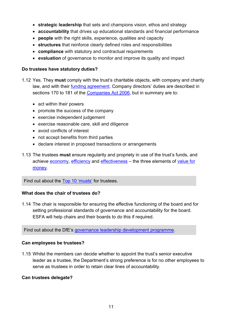- **strategic leadership** that sets and champions vision, ethos and strategy
- **accountability** that drives up educational standards and financial performance
- **people** with the right skills, experience, qualities and capacity
- **structures** that reinforce clearly defined roles and responsibilities
- **compliance** with statutory and contractual requirements
- **evaluation** of governance to monitor and improve its quality and impact

#### **Do trustees have statutory duties?**

- 1.12 Yes. They **must** comply with the trust's charitable objects, with company and charity law, and with their [funding agreement.](#page-50-0) Company directors' duties are described in sections 170 to 181 of the [Companies Act 2006,](http://www.legislation.gov.uk/ukpga/2006/46/part/10/chapter/2) but in summary are to:
	- act within their powers
	- promote the success of the company
	- exercise independent judgement
	- exercise reasonable care, skill and diligence
	- avoid conflicts of interest
	- not accept benefits from third parties
	- declare interest in proposed transactions or arrangements
- <span id="page-10-0"></span>1.13 The trustees **must** ensure regularity and propriety in use of the trust's funds, and achieve [economy,](#page-50-1) [efficiency](#page-50-2) and [effectiveness](#page-50-3) – the three elements of [value for](#page-51-0)  [money.](#page-51-0)

Find out about the [Top 10 'musts'](#page-52-0) for trustees.

## **What does the chair of trustees do?**

1.14 The chair is responsible for ensuring the effective functioning of the board and for setting professional standards of governance and accountability for the board. ESFA will help chairs and their boards to do this if required.

Find out about the DfE's [governance leadership development programme.](https://www.gov.uk/guidance/school-governors-professional-development)

## **Can employees be trustees?**

1.15 Whilst the members can decide whether to appoint the trust's senior executive leader as a trustee, the Department's strong preference is for no other employees to serve as trustees in order to retain clear lines of accountability.

#### **Can trustees delegate?**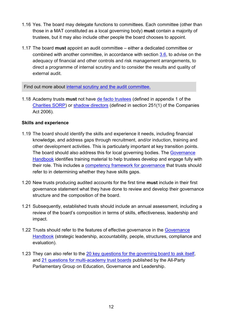- <span id="page-11-1"></span>1.16 Yes. The board may delegate functions to committees. Each committee (other than those in a MAT constituted as a local governing body) **must** contain a majority of trustees, but it may also include other people the board chooses to appoint.
- <span id="page-11-0"></span>1.17 The board **must** appoint an audit committee – either a dedicated committee or combined with another committee, in accordance with section [3.6,](#page-25-1) to advise on the adequacy of financial and other controls and risk management arrangements, to direct a programme of internal scrutiny and to consider the results and quality of external audit.

Find out more about [internal scrutiny and the audit committee.](#page-24-0)

<span id="page-11-2"></span>1.18 Academy trusts **must** not have [de facto trustees](#page-50-4) (defined in appendix 1 of the [Charities SORP\)](http://www.charitysorp.org/download-a-full-sorp/) or [shadow directors](#page-51-1) (defined in section 251(1) of the Companies Act 2006).

## **Skills and experience**

- 1.19 The board should identify the skills and experience it needs, including financial knowledge, and address gaps through recruitment, and/or induction, training and other development activities. This is particularly important at key transition points. The board should also address this for local governing bodies. The [Governance](https://www.gov.uk/government/publications/governance-handbook)  [Handbook](https://www.gov.uk/government/publications/governance-handbook) identifies training material to help trustees develop and engage fully with their role. This includes a [competency framework for governance](https://www.gov.uk/government/publications/governance-handbook) that trusts should refer to in determining whether they have skills gaps.
- <span id="page-11-3"></span>1.20 New trusts producing audited accounts for the first time **must** include in their first governance statement what they have done to review and develop their governance structure and the composition of the board.
- 1.21 Subsequently, established trusts should include an annual assessment, including a review of the board's composition in terms of skills, effectiveness, leadership and impact.
- 1.22 Trusts should refer to the features of effective governance in the [Governance](https://www.gov.uk/government/publications/governance-handbook)  [Handbook](https://www.gov.uk/government/publications/governance-handbook) (strategic leadership, accountability, people, structures, compliance and evaluation).
- 1.23 They can also refer to the [20 key questions for the governing board to ask itself,](https://www.nga.org.uk/Knowledge-Centre/Good-governance/Effective-governance/Twenty-Questions.aspx) and [21 questions for multi-academy trust boards](https://www.nga.org.uk/Knowledge-Centre/Good-governance/Effective-governance/Twenty-one-Questions-for-Multi-academy-Trust-Board.aspx) published by the All-Party Parliamentary Group on Education, Governance and Leadership.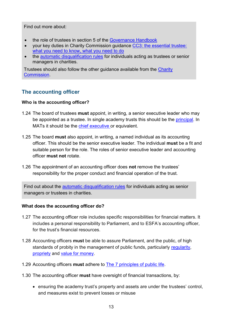Find out more about:

- the role of trustees in section 5 of the [Governance Handbook](https://www.gov.uk/government/publications/governance-handbook)
- your key duties in Charity Commission guidance CC3: [the essential trustee:](https://www.gov.uk/government/publications/the-essential-trustee-what-you-need-to-know-cc3)  [what you need to know,](https://www.gov.uk/government/publications/the-essential-trustee-what-you-need-to-know-cc3) what you need to do
- the [automatic disqualification rules](https://www.gov.uk/guidance/automatic-disqualification-rule-changes-guidance-for-charities) for individuals acting as trustees or senior managers in charities.

Trustees should also follow the other guidance available from the [Charity](https://www.gov.uk/government/organisations/charity-commission)  [Commission.](https://www.gov.uk/government/organisations/charity-commission)

## <span id="page-12-0"></span>**The accounting officer**

## **Who is the accounting officer?**

- <span id="page-12-2"></span>1.24 The board of trustees **must** appoint, in writing, a senior executive leader who may be appointed as a trustee. In single academy trusts this should be the [principal.](#page-50-5) In MATs it should be the [chief executive](#page-49-3) or equivalent.
- <span id="page-12-3"></span>1.25 The board **must** also appoint, in writing, a named individual as its accounting officer. This should be the senior executive leader. The individual **must** be a fit and suitable person for the role. The roles of senior executive leader and accounting officer **must not** rotate.
- 1.26 The appointment of an accounting officer does **not** remove the trustees' responsibility for the proper conduct and financial operation of the trust.

Find out about the [automatic disqualification rules](https://www.gov.uk/guidance/automatic-disqualification-rule-changes-guidance-for-charities) for individuals acting as senior managers or trustees in charities.

## **What does the accounting officer do?**

- 1.27 The accounting officer role includes specific responsibilities for financial matters. It includes a personal responsibility to Parliament, and to ESFA's accounting officer, for the trust's financial resources.
- <span id="page-12-1"></span>1.28 Accounting officers **must** be able to assure Parliament, and the public, of high standards of probity in the management of public funds, particularly [regularity,](#page-51-2) [propriety](#page-50-6) and [value for money.](#page-51-0)
- 1.29 Accounting officers **must** adhere to [The 7 principles of public life.](https://www.gov.uk/government/publications/the-7-principles-of-public-life)
- 1.30 The accounting officer **must** have oversight of financial transactions, by:
	- ensuring the academy trust's property and assets are under the trustees' control, and measures exist to prevent losses or misuse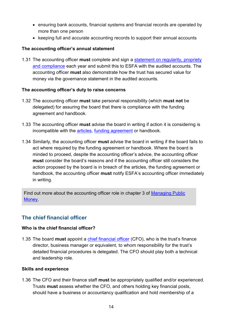- ensuring bank accounts, financial systems and financial records are operated by more than one person
- keeping full and accurate accounting records to support their annual accounts

## **The accounting officer's annual statement**

<span id="page-13-1"></span>1.31 The accounting officer **must** complete and sign a [statement on regularity, propriety](#page-29-1)  [and compliance](#page-29-1) each year and submit this to ESFA with the audited accounts. The accounting officer **must** also demonstrate how the trust has secured value for money via the governance statement in the audited accounts.

## **The accounting officer's duty to raise concerns**

- 1.32 The accounting officer **must** take personal responsibility (which **must not** be delegated) for assuring the board that there is compliance with the funding agreement and handbook.
- 1.33 The accounting officer **must** advise the board in writing if action it is considering is incompatible with the [articles,](#page-49-4) [funding agreement](#page-50-0) or handbook.
- 1.34 Similarly, the accounting officer **must** advise the board in writing if the board fails to act where required by the funding agreement or handbook. Where the board is minded to proceed, despite the accounting officer's advice, the accounting officer **must** consider the board's reasons and if the accounting officer still considers the action proposed by the board is in breach of the articles, the funding agreement or handbook, the accounting officer **must** notify ESFA's accounting officer immediately in writing.

Find out more about the accounting officer role in [chapter 3 of Managing Public](https://www.gov.uk/government/publications/managing-public-money)  [Money.](https://www.gov.uk/government/publications/managing-public-money)

## <span id="page-13-0"></span>**The chief financial officer**

## **Who is the chief financial officer?**

<span id="page-13-2"></span>1.35 The board **must** appoint a [chief financial officer](#page-49-2) (CFO), who is the trust's finance director, business manager or equivalent, to whom responsibility for the trust's detailed financial procedures is delegated. The CFO should play both a technical and leadership role.

#### **Skills and experience**

<span id="page-13-3"></span>1.36 The CFO and their finance staff **must** be appropriately qualified and/or experienced. Trusts **must** assess whether the CFO, and others holding key financial posts, should have a business or accountancy qualification and hold membership of a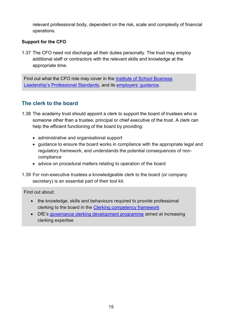relevant professional body, dependent on the risk, scale and complexity of financial operations.

## **Support for the CFO**

1.37 The CFO need not discharge all their duties personally. The trust may employ additional staff or contractors with the relevant skills and knowledge at the appropriate time.

Find out what the CFO role may cover in the [Institute of School Business](https://isbl.org.uk/Standards/index.aspx)  [Leadership's Professional Standards](https://isbl.org.uk/Standards/index.aspx), and its [employers' guidance](https://isbl.org.uk/documents/091136.3362807ISBL%20Head%20teachers%20and%20governance%20guidance%20-%20online%20edition.pdf).

## <span id="page-14-0"></span>**The clerk to the board**

- 1.38 The academy trust should appoint a clerk to support the board of trustees who is someone other than a trustee, principal or chief executive of the trust. A clerk can help the efficient functioning of the board by providing:
	- administrative and organisational support
	- guidance to ensure the board works in compliance with the appropriate legal and regulatory framework, and understands the potential consequences of noncompliance
	- advice on procedural matters relating to operation of the board
- 1.39 For non-executive trustees a knowledgeable clerk to the board (or company secretary) is an essential part of their tool kit.

Find out about:

- the knowledge, skills and behaviours required to provide professional clerking to the board in the [Clerking competency framework](https://www.gov.uk/government/publications/governance-handbook)
- DfE's [governance clerking development programme](https://www.gov.uk/guidance/school-governors-professional-development) aimed at increasing clerking expertise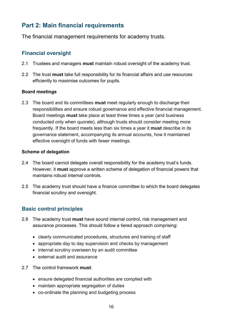# <span id="page-15-0"></span>**Part 2: Main financial requirements**

The financial management requirements for academy trusts.

## <span id="page-15-1"></span>**Financial oversight**

- <span id="page-15-5"></span>2.1 Trustees and managers **must** maintain robust oversight of the academy trust.
- <span id="page-15-6"></span>2.2 The trust **must** take full responsibility for its financial affairs and use resources efficiently to maximise outcomes for pupils.

## **Board meetings**

<span id="page-15-3"></span>2.3 The board and its committees **must** meet regularly enough to discharge their responsibilities and ensure robust governance and effective financial management. Board meetings **must** take place at least three times a year (and business conducted only when quorate), although trusts should consider meeting more frequently. If the board meets less than six times a year it **must** describe in its governance statement, accompanying its annual accounts, how it maintained effective oversight of funds with fewer meetings.

## <span id="page-15-7"></span><span id="page-15-4"></span>**Scheme of delegation**

- 2.4 The board cannot delegate overall responsibility for the academy trust's funds. However, it **must** approve a written scheme of delegation of financial powers that maintains robust internal controls.
- 2.5 The academy trust should have a finance committee to which the board delegates financial scrutiny and oversight.

## <span id="page-15-2"></span>**Basic control principles**

- <span id="page-15-8"></span>2.6 The academy trust **must** have sound internal control, risk management and assurance processes. This should follow a tiered approach comprising:
	- clearly communicated procedures, structures and training of staff
	- appropriate day to day supervision and checks by management
	- internal scrutiny overseen by an audit committee
	- external audit and assurance
- <span id="page-15-9"></span>2.7 The control framework **must**:
	- ensure delegated financial authorities are complied with
	- maintain appropriate segregation of duties
	- co-ordinate the planning and budgeting process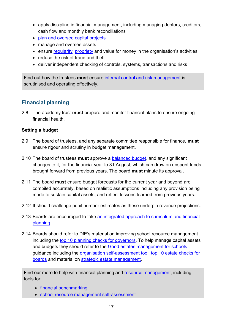- apply discipline in financial management, including managing debtors, creditors, cash flow and monthly bank reconciliations
- [plan and oversee](https://www.gov.uk/guidance/good-estate-management-for-schools/strategic-estate-management) capital projects
- manage and oversee assets
- <span id="page-16-3"></span>• ensure [regularity,](#page-51-2) [propriety](#page-50-6) and [value for money](#page-51-0) in the organisation's activities
- reduce the risk of fraud and theft
- deliver independent checking of controls, systems, transactions and risks

Find out how the trustees **must** ensure [internal control and risk management](#page-24-0) is scrutinised and operating effectively.

## <span id="page-16-0"></span>**Financial planning**

<span id="page-16-4"></span>2.8 The academy trust **must** prepare and monitor financial plans to ensure ongoing financial health.

## **Setting a budget**

- 2.9 The board of trustees, and any separate committee responsible for finance, **must** ensure rigour and scrutiny in budget management.
- <span id="page-16-2"></span>2.10 The board of trustees **must** approve a [balanced budget,](#page-49-5) and any significant changes to it, for the financial year to 31 August, which can draw on unspent funds brought forward from previous years. The board **must** minute its approval.
- <span id="page-16-5"></span>2.11 The board **must** ensure budget forecasts for the current year and beyond are compiled accurately, based on realistic assumptions including any provision being made to sustain capital assets, and reflect lessons learned from previous years.
- 2.12 It should challenge pupil number estimates as these underpin revenue projections.
- 2.13 Boards are encouraged to take [an integrated approach to curriculum and financial](https://www.gov.uk/guidance/improving-financial-efficiency-with-curriculum-planning)  [planning.](https://www.gov.uk/guidance/improving-financial-efficiency-with-curriculum-planning)
- <span id="page-16-1"></span>2.14 Boards should refer to DfE's material on improving school resource management including the [top 10 planning checks for governors.](https://www.gov.uk/guidance/school-resource-management-top-10-planning-checks-for-governors) To help manage capital assets and budgets they should refer to the [Good estates management for schools](https://www.gov.uk/guidance/good-estate-management-for-schools) guidance including the [organisation self-assessment tool,](https://assets.publishing.service.gov.uk/government/uploads/system/uploads/attachment_data/file/702096/Organisational_self-assessment.pdf) [top 10 estate checks for](https://www.gov.uk/government/publications/good-estate-management-for-schools-tools/top-10-estate-checks-for-boards)  [boards](https://www.gov.uk/government/publications/good-estate-management-for-schools-tools/top-10-estate-checks-for-boards) and material on [strategic estate management.](https://www.gov.uk/guidance/good-estate-management-for-schools/strategic-estate-management)

Find our more to help with financial planning and [resource management,](https://www.gov.uk/government/collections/schools-financial-health-and-efficiency) including tools for:

- [financial benchmarking](https://www.gov.uk/guidance/schools-financial-efficiency-financial-benchmarking)
- [school resource management self-assessment](https://www.gov.uk/government/publications/school-resource-management-self-assessment-tool)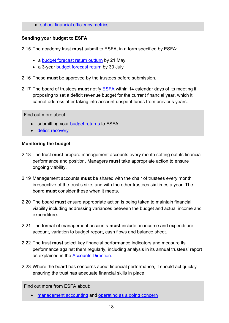• [school financial efficiency metrics](https://www.gov.uk/government/publications/schools-financial-efficiency-metric-tool)

## **Sending your budget to ESFA**

<span id="page-17-2"></span>2.15 The academy trust **must** submit to ESFA, in a form specified by ESFA:

- a [budget forecast return outturn](https://www.gov.uk/guidance/academies-budget-forecast-return) by 21 May
- a 3-year **budget forecast return by 30 July**
- 2.16 These **must** be approved by the trustees before submission.
- <span id="page-17-3"></span>2.17 The board of trustees **must** notify [ESFA](http://www.education.gov.uk/kc-enquiry-form) within 14 calendar days of its meeting if proposing to set a deficit revenue budget for the current financial year, which it cannot address after taking into account unspent funds from previous years.

Find out more about:

- submitting your [budget returns](https://www.gov.uk/guidance/academies-budget-forecast-return) to ESFA
- [deficit recovery](https://www.gov.uk/government/publications/academy-trust-financial-management-good-practice-guides/academy-trust-deficit-recovery)

## <span id="page-17-0"></span>**Monitoring the budget**

- <span id="page-17-4"></span>2.18 The trust **must** prepare management accounts every month setting out its financial performance and position. Managers **must** take appropriate action to ensure ongoing viability.
- <span id="page-17-1"></span>2.19 Management accounts **must** be shared with the chair of trustees every month irrespective of the trust's size, and with the other trustees six times a year. The board **must** consider these when it meets.
- 2.20 The board **must** ensure appropriate action is being taken to maintain financial viability including addressing variances between the budget and actual income and expenditure.
- 2.21 The format of management accounts **must** include an income and expenditure account, variation to budget report, cash flows and balance sheet.
- 2.22 The trust **must** select key financial performance indicators and measure its performance against them regularly, including analysis in its annual trustees' report as explained in the [Accounts Direction.](https://www.gov.uk/government/publications/academies-accounts-direction)
- 2.23 Where the board has concerns about financial performance, it should act quickly ensuring the trust has adequate financial skills in place.

Find out more from ESFA about:

• [management accounting](https://www.gov.uk/government/publications/academy-trust-financial-management-good-practice-guides/academy-trust-management-accounting) and [operating as a going concern](https://www.gov.uk/government/publications/academy-trust-financial-management-good-practice-guides/operating-an-academy-trust-as-a-going-concern)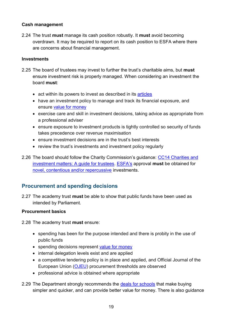## **Cash management**

<span id="page-18-2"></span>2.24 The trust **must** manage its cash position robustly. It **must** avoid becoming overdrawn. It may be required to report on its cash position to ESFA where there are concerns about financial management.

#### <span id="page-18-3"></span>**Investments**

- 2.25 The board of trustees may invest to further the trust's charitable aims, but **must** ensure investment risk is properly managed. When considering an investment the board **must**:
	- act within its powers to invest as described in its [articles](#page-49-4)
	- have an investment policy to manage and track its financial exposure, and ensure [value for money](#page-51-0)
	- exercise care and skill in investment decisions, taking advice as appropriate from a professional adviser
	- ensure exposure to investment products is tightly controlled so security of funds takes precedence over revenue maximisation
	- ensure investment decisions are in the trust's best interests
	- review the trust's investments and investment policy regularly
- 2.26 The board should follow the Charity Commission's guidance: [CC14 Charities and](https://www.gov.uk/government/publications/charities-and-investment-matters-a-guide-for-trustees-cc14)  [investment matters: A guide for trustees.](https://www.gov.uk/government/publications/charities-and-investment-matters-a-guide-for-trustees-cc14) [ESFA](http://www.education.gov.uk/kc-enquiry-form)'s approval **must** be obtained for [novel, contentious and/or repercussive](#page-31-2) investments.

## <span id="page-18-0"></span>**Procurement and spending decisions**

<span id="page-18-4"></span>2.27 The academy trust **must** be able to show that public funds have been used as intended by Parliament.

## **Procurement basics**

<span id="page-18-1"></span>2.28 The academy trust **must** ensure:

- spending has been for the purpose intended and there is probity in the use of public funds
- spending decisions represent [value for money](#page-51-0)
- internal delegation levels exist and are applied
- a competitive tendering policy is in place and applied, and Official Journal of the European Union [\(OJEU\)](http://www.ojec.com/Threshholds.aspx) procurement thresholds are observed
- professional advice is obtained where appropriate
- 2.29 The Department strongly recommends the [deals for schools](https://www.gov.uk/government/publications/deals-for-schools/deals-for-schools) that make buying simpler and quicker, and can provide better value for money. There is also guidance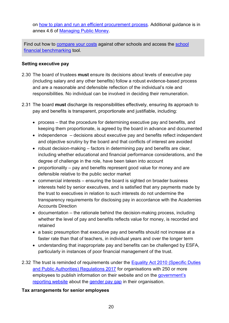on [how to plan and run an efficient procurement process.](https://www.gov.uk/guidance/buying-for-schools) Additional guidance is in annex 4.6 of [Managing Public Money.](https://www.gov.uk/government/publications/managing-public-money)

Find out how to [compare your costs](https://www.gov.uk/guidance/schools-financial-efficiency-financial-benchmarking) against other schools and access the school [financial benchmarking](https://schools-financial-benchmarking.service.gov.uk/) tool.

## <span id="page-19-0"></span>**Setting executive pay**

- 2.30 The board of trustees **must** ensure its decisions about levels of executive pay (including salary and any other benefits) follow a robust evidence-based process and are a reasonable and defensible reflection of the individual's role and responsibilities. No individual can be involved in deciding their remuneration.
- 2.31 The board **must** discharge its responsibilities effectively, ensuring its approach to pay and benefits is transparent, proportionate and justifiable, including:
	- process that the procedure for determining executive pay and benefits, and keeping them proportionate, is agreed by the board in advance and documented
	- independence decisions about executive pay and benefits reflect independent and objective scrutiny by the board and that conflicts of interest are avoided
	- robust decision-making factors in determining pay and benefits are clear, including whether educational and financial performance considerations, and the degree of challenge in the role, have been taken into account
	- proportionality pay and benefits represent good value for money and are defensible relative to the public sector market
	- commercial interests ensuring the board is sighted on broader business interests held by senior executives, and is satisfied that any payments made by the trust to executives in relation to such interests do not undermine the transparency requirements for disclosing pay in accordance with the Academies Accounts Direction
	- documentation the rationale behind the decision-making process, including whether the level of pay and benefits reflects value for money, is recorded and retained
	- a basic presumption that executive pay and benefits should not increase at a faster rate than that of teachers, in individual years and over the longer term
	- understanding that inappropriate pay and benefits can be challenged by ESFA, particularly in instances of poor financial management of the trust.
- <span id="page-19-1"></span>2.32 The trust is reminded of requirements under the Equality Act 2010 (Specific Duties [and Public Authorities\) Regulations 2017](http://www.legislation.gov.uk/uksi/2017/353/contents/made) for organisations with 250 or more employees to publish information on their website and on the government's [reporting website](https://www.gov.uk/report-gender-pay-gap-data) about the [gender pay gap](https://gender-pay-gap.service.gov.uk/) in their organisation.

## <span id="page-19-2"></span>**Tax arrangements for senior employees**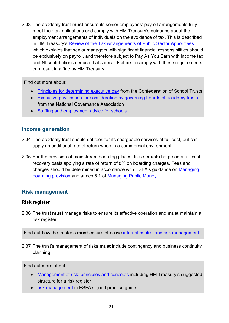2.33 The academy trust **must** ensure its senior employees' payroll arrangements fully meet their tax obligations and comply with HM Treasury's guidance about the employment arrangements of individuals on the avoidance of tax. This is described in HM Treasury's [Review of the Tax Arrangements of Public Sector Appointees](https://www.gov.uk/government/publications/review-of-the-tax-arrangements-of-public-sector-appointees) which explains that senior managers with significant financial responsibilities should be exclusively on payroll, and therefore subject to Pay As You Earn with income tax and NI contributions deducted at source. Failure to comply with these requirements can result in a fine by HM Treasury.

Find out more about:

- [Principles for determining executive pay](https://cstuk.org.uk/wp-content/uploads/2019/01/CST-Code-Principles-for-Setting-Executive-Pay.pdf) from the Confederation of School Trusts
- [Executive pay: issues for consideration by governing boards of academy trusts](https://www.nga.org.uk/Knowledge-Centre/Good-governance/Ethical-governance/Setting-pay-for-executive-heads.aspx) from the National Governance Association
- [Staffing and employment advice for schools.](https://www.gov.uk/government/publications/staffing-and-employment-advice-for-schools)

## <span id="page-20-0"></span>**Income generation**

- 2.34 The academy trust should set fees for its chargeable services at full cost, but can apply an additional rate of return when in a commercial environment.
- <span id="page-20-3"></span>2.35 For the provision of mainstream boarding places, trusts **must** charge on a full cost recovery basis applying a rate of return of 8% on boarding charges. Fees and charges should be determined in accordance with ESFA's guidance on [Managing](https://www.gov.uk/government/publications/state-funded-boarding-school-provision-management-and-charges)  [boarding provision](https://www.gov.uk/government/publications/state-funded-boarding-school-provision-management-and-charges) and annex 6.1 of [Managing Public Money.](https://www.gov.uk/government/publications/managing-public-money)

## <span id="page-20-1"></span>**Risk management**

#### <span id="page-20-2"></span>**Risk register**

2.36 The trust **must** manage risks to ensure its effective operation and **must** maintain a risk register.

Find out how the trustees **must** ensure effective [internal control and risk management.](#page-24-0)

2.37 The trust's management of risks **must** include contingency and business continuity planning.

Find out more about:

- [Management of risk: principles and concepts](https://www.gov.uk/government/publications/orange-book) including HM Treasury's suggested structure for a risk register
- [risk management](https://www.gov.uk/government/publications/academy-trust-financial-management-good-practice-guides/academy-trust-risk-management) in ESFA's good practice guide.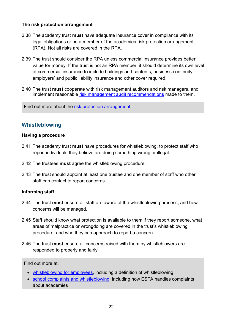#### **The risk protection arrangement**

- <span id="page-21-1"></span>2.38 The academy trust **must** have adequate insurance cover in compliance with its legal obligations or be a member of the academies risk protection arrangement (RPA). Not all risks are covered in the RPA.
- 2.39 The trust should consider the RPA unless commercial insurance provides better value for money. If the trust is not an RPA member, it should determine its own level of commercial insurance to include buildings and contents, business continuity, employers' and public liability insurance and other cover required.
- <span id="page-21-2"></span>2.40 The trust **must** cooperate with risk management auditors and risk managers, and implement reasonable [risk management audit recommendations](http://www.rpaclaimforms.co.uk/wp-content/uploads/2018/08/RPA-FAQs-Aug-18.pdf) made to them.

<span id="page-21-0"></span>Find out more about the [risk protection arrangement.](https://www.gov.uk/academies-risk-protection-arrangement-rpa)

## **Whistleblowing**

#### **Having a procedure**

- 2.41 The academy trust **must** have procedures for whistleblowing, to protect staff who report individuals they believe are doing something wrong or illegal.
- 2.42 The trustees **must** agree the whistleblowing procedure.
- 2.43 The trust should appoint at least one trustee and one member of staff who other staff can contact to report concerns.

## **Informing staff**

- 2.44 The trust **must** ensure all staff are aware of the whistleblowing process, and how concerns will be managed.
- 2.45 Staff should know what protection is available to them if they report someone, what areas of malpractice or wrongdoing are covered in the trust's whistleblowing procedure, and who they can approach to report a concern.
- 2.46 The trust **must** ensure all concerns raised with them by whistleblowers are responded to properly and fairly.

Find out more at:

- [whistleblowing for employees,](https://www.gov.uk/whistleblowing) including a definition of whistleblowing
- [school complaints and whistleblowing,](https://www.gov.uk/education/school-complaints-and-whistleblowing) including how ESFA handles complaints about academies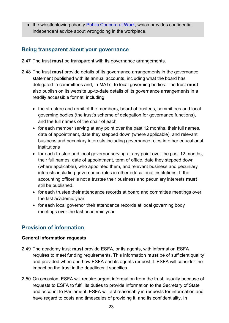• the whistleblowing charity [Public Concern at Work,](http://www.pcaw.org.uk/) which provides confidential independent advice about wrongdoing in the workplace.

## <span id="page-22-0"></span>**Being transparent about your governance**

- <span id="page-22-2"></span>2.47 The trust **must** be transparent with its governance arrangements.
- <span id="page-22-5"></span><span id="page-22-3"></span>2.48 The trust **must** provide details of its governance arrangements in the governance statement published with its annual accounts, including what the board has delegated to committees and, in MATs, to local governing bodies. The trust **must** also publish on its website up-to-date details of its governance arrangements in a readily accessible format, including:
	- the structure and remit of the members, board of trustees, committees and local governing bodies (the trust's scheme of delegation for governance functions), and the full names of the chair of each
	- for each member serving at any point over the past 12 months, their full names, date of appointment, date they stepped down (where applicable), and relevant business and pecuniary interests including governance roles in other educational institutions
	- for each trustee and local governor serving at any point over the past 12 months, their full names, date of appointment, term of office, date they stepped down (where applicable), who appointed them, and relevant business and pecuniary interests including governance roles in other educational institutions. If the accounting officer is not a trustee their business and pecuniary interests **must** still be published.
	- for each trustee their attendance records at board and committee meetings over the last academic year
	- for each local governor their attendance records at local governing body meetings over the last academic year

## <span id="page-22-1"></span>**Provision of information**

## **General information requests**

- <span id="page-22-4"></span>2.49 The academy trust **must** provide ESFA, or its agents, with information ESFA requires to meet funding requirements. This information **must** be of sufficient quality and provided when and how ESFA and its agents request it. ESFA will consider the impact on the trust in the deadlines it specifies.
- 2.50 On occasion, ESFA will require urgent information from the trust, usually because of requests to ESFA to fulfil its duties to provide information to the Secretary of State and account to Parliament. ESFA will act reasonably in requests for information and have regard to costs and timescales of providing it, and its confidentiality. In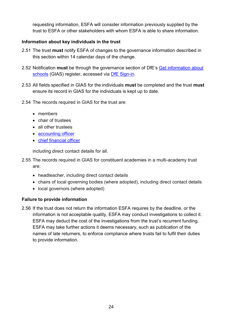requesting information, ESFA will consider information previously supplied by the trust to ESFA or other stakeholders with whom ESFA is able to share information.

## <span id="page-23-0"></span>**Information about key individuals in the trust**

- <span id="page-23-1"></span>2.51 The trust **must** notify ESFA of changes to the governance information described in this section within 14 calendar days of the change.
- 2.52 Notification **must** be through the governance section of DfE's [Get information about](https://get-information-schools.service.gov.uk/)  [schools](https://get-information-schools.service.gov.uk/) (GIAS) register, accessed via [DfE Sign-in.](https://services.signin.education.gov.uk/)
- 2.53 All fields specified in GIAS for the individuals **must** be completed and the trust **must** ensure its record in GIAS for the individuals is kept up to date.
- 2.54 The records required in GIAS for the trust are:
	- members
	- chair of trustees
	- all other trustees
	- [accounting officer](#page-49-1)
	- [chief financial officer](#page-49-2)

including direct contact details for all.

- 2.55 The records required in GIAS for constituent academies in a multi-academy trust are:
	- headteacher, including direct contact details
	- chairs of local governing bodies (where adopted), including direct contact details
	- local governors (where adopted)

## **Failure to provide information**

2.56 If the trust does not return the information ESFA requires by the deadline, or the information is not acceptable quality, ESFA may conduct investigations to collect it. ESFA may deduct the cost of the investigations from the trust's recurrent funding. ESFA may take further actions it deems necessary, such as publication of the names of late returners, to enforce compliance where trusts fail to fulfil their duties to provide information.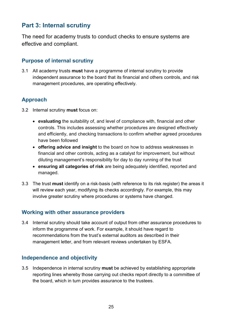# <span id="page-24-0"></span>**Part 3: Internal scrutiny**

The need for academy trusts to conduct checks to ensure systems are effective and compliant.

## <span id="page-24-1"></span>**Purpose of internal scrutiny**

<span id="page-24-5"></span>3.1 All academy trusts **must** have a programme of internal scrutiny to provide independent assurance to the board that its financial and others controls, and risk management procedures, are operating effectively.

## <span id="page-24-2"></span>**Approach**

- 3.2 Internal scrutiny **must** focus on:
	- **evaluating** the suitability of, and level of compliance with, financial and other controls. This includes assessing whether procedures are designed effectively and efficiently, and checking transactions to confirm whether agreed procedures have been followed
	- **offering advice and insight** to the board on how to address weaknesses in financial and other controls, acting as a catalyst for improvement, but without diluting management's responsibility for day to day running of the trust
	- **ensuring all categories of risk** are being adequately identified, reported and managed.
- 3.3 The trust **must** identify on a risk-basis (with reference to its risk register) the areas it will review each year, modifying its checks accordingly. For example, this may involve greater scrutiny where procedures or systems have changed.

## <span id="page-24-3"></span>**Working with other assurance providers**

3.4 Internal scrutiny should take account of output from other assurance procedures to inform the programme of work. For example, it should have regard to recommendations from the trust's external auditors as described in their management letter, and from relevant reviews undertaken by ESFA.

## <span id="page-24-4"></span>**Independence and objectivity**

3.5 Independence in internal scrutiny **must** be achieved by establishing appropriate reporting lines whereby those carrying out checks report directly to a committee of the board, which in turn provides assurance to the trustees.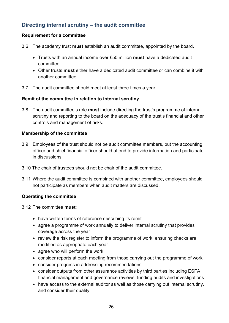## <span id="page-25-0"></span>**Directing internal scrutiny – the audit committee**

## **Requirement for a committee**

- <span id="page-25-1"></span>3.6 The academy trust **must** establish an audit committee, appointed by the board.
	- Trusts with an annual income over £50 million **must** have a dedicated audit committee.
	- Other trusts **must** either have a dedicated audit committee or can combine it with another committee.
- 3.7 The audit committee should meet at least three times a year.

#### **Remit of the committee in relation to internal scrutiny**

3.8 The audit committee's role **must** include directing the trust's programme of internal scrutiny and reporting to the board on the adequacy of the trust's financial and other controls and management of risks.

#### **Membership of the committee**

- 3.9 Employees of the trust should not be audit committee members, but the accounting officer and chief financial officer should attend to provide information and participate in discussions.
- 3.10 The chair of trustees should not be chair of the audit committee.
- 3.11 Where the audit committee is combined with another committee, employees should not participate as members when audit matters are discussed.

## **Operating the committee**

- 3.12 The committee **must**:
	- have written terms of reference describing its remit
	- agree a programme of work annually to deliver internal scrutiny that provides coverage across the year
	- review the risk register to inform the programme of work, ensuring checks are modified as appropriate each year
	- agree who will perform the work
	- consider reports at each meeting from those carrying out the programme of work
	- consider progress in addressing recommendations
	- consider outputs from other assurance activities by third parties including ESFA financial management and governance reviews, funding audits and investigations
	- have access to the external auditor as well as those carrying out internal scrutiny, and consider their quality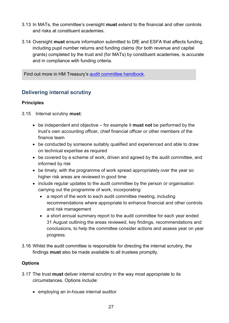- <span id="page-26-2"></span>3.13 In MATs, the committee's oversight **must** extend to the financial and other controls and risks at constituent academies.
- <span id="page-26-3"></span>3.14 Oversight **must** ensure information submitted to DfE and ESFA that affects funding, including pupil number returns and funding claims (for both revenue and capital grants) completed by the trust and (for MATs) by constituent academies, is accurate and in compliance with funding criteria.

Find out more in HM Treasury's [audit committee handbook.](https://www.gov.uk/government/publications/audit-committee-handbook)

## <span id="page-26-0"></span>**Delivering internal scrutiny**

## **Principles**

3.15 Internal scrutiny **must**:

- <span id="page-26-4"></span>• be independent and objective – for example it **must not** be performed by the trust's own accounting officer, chief financial officer or other members of the finance team
- be conducted by someone suitably qualified and experienced and able to draw on technical expertise as required
- be covered by a scheme of work, driven and agreed by the audit committee, and informed by risk
- be timely, with the programme of work spread appropriately over the year so higher risk areas are reviewed in good time
- <span id="page-26-5"></span>• include regular updates to the audit committee by the person or organisation carrying out the programme of work, incorporating:
	- a report of the work to each audit committee meeting, including recommendations where appropriate to enhance financial and other controls and risk management
	- a short annual summary report to the audit committee for each year ended 31 August outlining the areas reviewed, key findings, recommendations and conclusions, to help the committee consider actions and assess year on year progress.
- <span id="page-26-1"></span>3.16 Whilst the audit committee is responsible for directing the internal scrutiny, the findings **must** also be made available to all trustees promptly.

## **Options**

- 3.17 The trust **must** deliver internal scrutiny in the way most appropriate to its circumstances. Options include:
	- employing an in-house internal auditor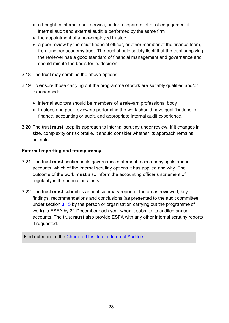- a bought-in internal audit service, under a separate letter of engagement if internal audit and external audit is performed by the same firm
- the appointment of a non-employed trustee
- a peer review by the [chief financial officer,](#page-49-2) or other member of the finance team, from another academy trust. The trust should satisfy itself that the trust supplying the reviewer has a good standard of financial management and governance and should minute the basis for its decision.
- 3.18 The trust may combine the above options.
- 3.19 To ensure those carrying out the programme of work are suitably qualified and/or experienced:
	- internal auditors should be members of a relevant professional body
	- trustees and peer reviewers performing the work should have qualifications in finance, accounting or audit, and appropriate internal audit experience.
- 3.20 The trust **must** keep its approach to internal scrutiny under review. If it changes in size, complexity or risk profile, it should consider whether its approach remains suitable.

## **External reporting and transparency**

- <span id="page-27-0"></span>3.21 The trust **must** confirm in its governance statement, accompanying its annual accounts, which of the internal scrutiny options it has applied and why. The outcome of the work **must** also inform the accounting officer's statement of regularity in the annual accounts.
- <span id="page-27-1"></span>3.22 The trust **must** submit its annual summary report of the areas reviewed, key findings, recommendations and conclusions (as presented to the audit committee under section [3.15](#page-26-1) by the person or organisation carrying out the programme of work) to ESFA by 31 December each year when it submits its audited annual accounts. The trust **must** also provide ESFA with any other internal scrutiny reports if requested.

Find out more at the [Chartered Institute of Internal Auditors.](https://www.iia.org.uk/about-us/what-is-internal-audit/)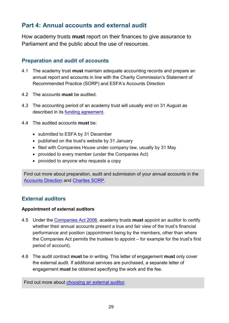# <span id="page-28-0"></span>**Part 4: Annual accounts and external audit**

How academy trusts **must** report on their finances to give assurance to Parliament and the public about the use of resources.

## <span id="page-28-1"></span>**Preparation and audit of accounts**

- <span id="page-28-4"></span>4.1 The academy trust **must** maintain adequate accounting records and prepare an annual report and accounts in line with the Charity Commission's Statement of Recommended Practice (SORP) and ESFA's Accounts Direction
- 4.2 The accounts **must** be audited.
- 4.3 The accounting period of an academy trust will usually end on 31 August as described in its [funding agreement.](#page-50-0)
- <span id="page-28-3"></span>4.4 The audited accounts **must** be:
	- submitted to ESFA by 31 December
	- published on the trust's website by 31 January
	- filed with [Companies House](http://www.companieshouse.gov.uk/) under company law, usually by 31 May
	- provided to every member (under the Companies Act)
	- provided to anyone who requests a copy

Find out more about preparation, audit and submission of your annual accounts in the [Accounts Direction](https://www.gov.uk/government/publications/academies-accounts-direction) and [Charites SORP.](http://charitysorp.org/)

## <span id="page-28-2"></span>**External auditors**

#### **Appointment of external auditors**

- <span id="page-28-5"></span>4.5 Under the [Companies Act 2006,](http://www.legislation.gov.uk/ukpga/2006/46/part/16) academy trusts **must** appoint an auditor to certify whether their annual accounts present a true and fair view of the trust's financial performance and position (appointment being by the members, other than where the Companies Act permits the trustees to appoint – for example for the trust's first period of account).
- <span id="page-28-6"></span>4.6 The audit contract **must** be in writing. This letter of engagement **must** only cover the external audit. If additional services are purchased, a separate letter of engagement **must** be obtained specifying the work and the fee.

Find out more about [choosing an external auditor.](https://www.gov.uk/government/publications/academy-trust-financial-management-good-practice-guides/choosing-an-external-auditor-for-an-academy-trust)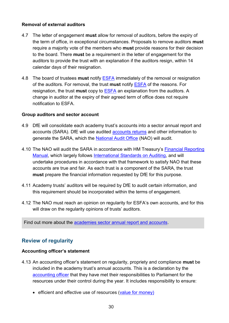## **Removal of external auditors**

- <span id="page-29-2"></span>4.7 The letter of engagement **must** allow for removal of auditors, before the expiry of the term of office, in exceptional circumstances. Proposals to remove auditors **must** require a majority vote of the members who **must** provide reasons for their decision to the board. There **must** be a requirement in the letter of engagement for the auditors to provide the trust with an explanation if the auditors resign, within 14 calendar days of their resignation.
- <span id="page-29-3"></span>4.8 The board of trustees **must** notify [ESFA](http://www.education.gov.uk/kc-enquiry-form) immediately of the removal or resignation of the auditors. For removal, the trust **must** notify [ESFA](http://www.education.gov.uk/kc-enquiry-form) of the reasons. For resignation, the trust **must** copy to [ESFA](http://www.education.gov.uk/kc-enquiry-form) an explanation from the auditors. A change in auditor at the expiry of their agreed term of office does not require notification to ESFA.

#### **Group auditors and sector account**

- <span id="page-29-4"></span>4.9 DfE will consolidate each academy trust's accounts into a sector annual report and accounts (SARA). DfE will use audited [accounts returns](#page-49-6) and other information to generate the SARA, which the [National Audit Office](http://www.nao.org.uk/) (NAO) will audit.
- 4.10 The NAO will audit the SARA in accordance with HM Treasury's [Financial Reporting](https://www.gov.uk/government/collections/government-financial-reporting-manual-frem)  [Manual,](https://www.gov.uk/government/collections/government-financial-reporting-manual-frem) which largely follows [International Standards on Auditing,](https://www.frc.org.uk/auditors/audit-assurance/standards-and-guidance/2016-auditing-standards) and will undertake procedures in accordance with that framework to satisfy NAO that these accounts are true and fair. As each trust is a component of the SARA, the trust **must** prepare the financial information requested by DfE for this purpose.
- 4.11 Academy trusts' auditors will be required by DfE to audit certain information, and this requirement should be incorporated within the terms of engagement.
- 4.12 The NAO must reach an opinion on regularity for ESFA's own accounts, and for this will draw on the regularity opinions of trusts' auditors.

<span id="page-29-0"></span>Find out more about the [academies sector annual report and accounts.](https://www.gov.uk/government/collections/academies-sector-annual-reports-and-accounts)

## **Review of regularity**

#### **Accounting officer's statement**

- <span id="page-29-1"></span>4.13 An accounting officer's statement on regularity, propriety and compliance **must** be included in the academy trust's annual accounts. This is a declaration by the [accounting officer](#page-49-1) that they have met their responsibilities to Parliament for the resources under their control during the year. It includes responsibility to ensure:
	- efficient and effective use of resources [\(value for money\)](#page-51-0)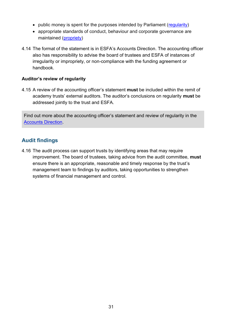- public money is spent for the purposes intended by Parliament [\(regularity\)](#page-51-2)
- appropriate standards of conduct, behaviour and corporate governance are maintained [\(propriety\)](#page-50-6)
- 4.14 The format of the statement is in ESFA's Accounts Direction. The accounting officer also has responsibility to advise the board of trustees and ESFA of instances of irregularity or impropriety, or non-compliance with the funding agreement or handbook.

## **Auditor's review of regularity**

<span id="page-30-1"></span>4.15 A review of the accounting officer's statement **must** be included within the remit of academy trusts' external auditors. The auditor's conclusions on regularity **must** be addressed jointly to the trust and ESFA.

Find out more about the accounting officer's statement and review of regularity in the [Accounts Direction.](https://www.gov.uk/government/publications/academies-accounts-direction)

## <span id="page-30-0"></span>**Audit findings**

4.16 The audit process can support trusts by identifying areas that may require improvement. The board of trustees, taking advice from the audit committee, **must** ensure there is an appropriate, reasonable and timely response by the trust's management team to findings by auditors, taking opportunities to strengthen systems of financial management and control.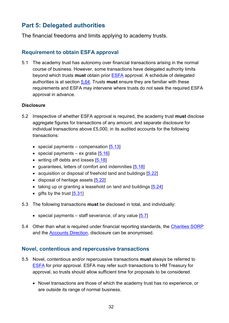# <span id="page-31-0"></span>**Part 5: Delegated authorities**

The financial freedoms and limits applying to academy trusts.

## <span id="page-31-1"></span>**Requirement to obtain ESFA approval**

<span id="page-31-3"></span>5.1 The academy trust has autonomy over financial transactions arising in the normal course of business. However, some transactions have delegated authority limits beyond which trusts **must** obtain prior [ESFA](http://www.education.gov.uk/kc-enquiry-form) approval. A schedule of delegated authorities is at section [5.64.](#page-43-0) Trusts **must** ensure they are familiar with these requirements and ESFA may intervene where trusts do not seek the required ESFA approval in advance.

#### **Disclosure**

- <span id="page-31-4"></span>5.2 Irrespective of whether ESFA approval is required, the academy trust **must** disclose aggregate figures for transactions of any amount, and separate disclosure for individual transactions above £5,000, in its audited accounts for the following transactions:
	- special payments compensation  $[5.13]$
	- special payments ex gratia  $[5.16]$
	- writing off debts and losses [\[5.18\]](#page-34-2)
	- guarantees, letters of comfort and indemnities [\[5.18\]](#page-34-2)
	- acquisition or disposal of freehold land and buildings [\[5.22\]](#page-35-2)
	- disposal of heritage assets [5,22]
	- taking up or granting a leasehold on land and buildings [\[5.24\]](#page-35-3)
	- gifts by the trust [\[5.31\]](#page-36-3)
- 5.3 The following transactions **must** be disclosed in total, and individually:
	- special payments staff severance, of any value  $[5.7]$
- 5.4 Other than what is required under financial reporting standards, the [Charities SORP](http://www.charitysorp.org/) and the [Accounts Direction,](https://www.gov.uk/academies-accounts-direction) disclosure can be anonymised.

## <span id="page-31-2"></span>**Novel, contentious and repercussive transactions**

- 5.5 Novel, contentious and/or repercussive transactions **must** always be referred to [ESFA](http://www.education.gov.uk/kc-enquiry-form) for prior approval. ESFA may refer such transactions to HM Treasury for approval, so trusts should allow sufficient time for proposals to be considered.
	- Novel transactions are those of which the academy trust has no experience, or are outside its range of normal business.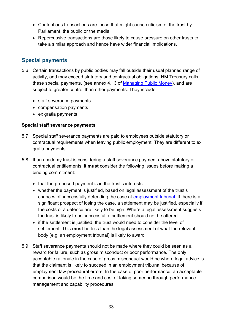- Contentious transactions are those that might cause criticism of the trust by Parliament, the public or the media.
- Repercussive transactions are those likely to cause pressure on other trusts to take a similar approach and hence have wider financial implications.

## <span id="page-32-0"></span>**Special payments**

- 5.6 Certain transactions by public bodies may fall outside their usual planned range of activity, and may exceed statutory and contractual obligations. HM Treasury calls these special payments, (see annex 4.13 of [Managing Public Money\)](https://www.gov.uk/government/publications/managing-public-money), and are subject to greater control than other payments. They include:
	- staff severance payments
	- compensation payments
	- ex gratia payments

## **Special staff severance payments**

- <span id="page-32-1"></span>5.7 Special staff severance payments are paid to employees outside statutory or contractual requirements when leaving public employment. They are different to ex gratia payments.
- <span id="page-32-2"></span>5.8 If an academy trust is considering a staff severance payment above statutory or contractual entitlements, it **must** consider the following issues before making a binding commitment:
	- that the proposed payment is in the trust's interests
	- whether the payment is justified, based on legal assessment of the trust's chances of successfully defending the case at [employment tribunal.](https://www.gov.uk/being-taken-to-employment-tribunal-by-employee) If there is a significant prospect of losing the case, a settlement may be justified, especially if the costs of a defence are likely to be high. Where a legal assessment suggests the trust is likely to be successful, a settlement should not be offered
	- if the settlement is justified, the trust would need to consider the level of settlement. This **must** be less than the legal assessment of what the relevant body (e.g. an employment tribunal) is likely to award
- 5.9 Staff severance payments should not be made where they could be seen as a reward for failure, such as gross misconduct or poor performance. The only acceptable rationale in the case of gross misconduct would be where legal advice is that the claimant is likely to succeed in an employment tribunal because of employment law procedural errors. In the case of poor performance, an acceptable comparison would be the time and cost of taking someone through performance management and capability procedures.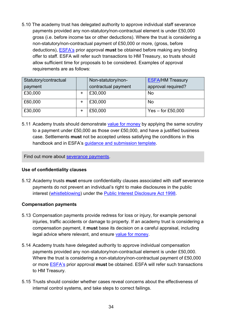<span id="page-33-3"></span><span id="page-33-1"></span>5.10 The academy trust has delegated authority to approve individual staff severance payments provided any non-statutory/non-contractual element is under £50,000 gross (i.e. before income tax or other deductions). Where the trust is considering a non-statutory/non-contractual payment of £50,000 or more, (gross, before deductions), [ESFA's](http://www.education.gov.uk/kc-enquiry-form) prior approval **must** be obtained before making any binding offer to staff. ESFA will refer such transactions to HM Treasury, so trusts should allow sufficient time for proposals to be considered. Examples of approval requirements are as follows:

| Statutory/contractual<br>payment |   | Non-statutory/non-<br>contractual payment | <b>ESFA/HM Treasury</b><br>approval required? |
|----------------------------------|---|-------------------------------------------|-----------------------------------------------|
| £30,000                          |   | £30,000                                   | <b>No</b>                                     |
| £60,000                          | + | £30,000                                   | <b>No</b>                                     |
| £30,000                          | ٠ | £50,000                                   | Yes $-$ for £50,000                           |

<span id="page-33-4"></span>5.11 Academy trusts should demonstrate [value for money](#page-51-0) by applying the same scrutiny to a payment under £50,000 as those over £50,000, and have a justified business case. Settlements **must** not be accepted unless satisfying the conditions in this handbook and in ESFA's quidance and submission template.

Find out more about [severance payments.](https://www.gov.uk/guidance/academies-severance-payments)

## **Use of confidentiality clauses**

<span id="page-33-5"></span>5.12 Academy trusts **must** ensure confidentiality clauses associated with staff severance payments do not prevent an individual's right to make disclosures in the public interest [\(whistleblowing\)](#page-21-0) under the [Public Interest Disclosure Act 1998.](http://www.legislation.gov.uk/ukpga/1998/23/contents)

## **Compensation payments**

- <span id="page-33-6"></span><span id="page-33-0"></span>5.13 Compensation payments provide redress for loss or injury, for example personal injuries, traffic accidents or damage to property. If an academy trust is considering a compensation payment, it **must** base its decision on a careful appraisal, including legal advice where relevant, and ensure [value for money.](#page-51-0)
- <span id="page-33-2"></span>5.14 Academy trusts have delegated authority to approve individual compensation payments provided any non-statutory/non-contractual element is under £50,000. Where the trust is considering a non-statutory/non-contractual payment of £50,000 or more [ESFA](http://www.education.gov.uk/kc-enquiry-form)'s prior approval **must** be obtained. ESFA will refer such transactions to HM Treasury.
- 5.15 Trusts should consider whether cases reveal concerns about the effectiveness of internal control systems, and take steps to correct failings.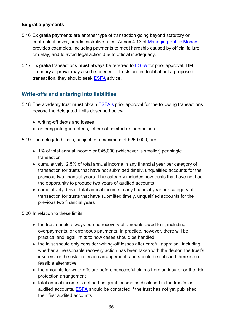## **Ex gratia payments**

- <span id="page-34-1"></span>5.16 Ex gratia payments are another type of transaction going beyond statutory or contractual cover, or administrative rules. Annex 4.13 of [Managing Public Money](https://www.gov.uk/government/publications/managing-public-money) provides examples, including payments to meet hardship caused by official failure or delay, and to avoid legal action due to official inadequacy.
- <span id="page-34-3"></span>5.17 Ex gratia transactions **must** always be referred to [ESFA](http://www.education.gov.uk/kc-enquiry-form) for prior approval. HM Treasury approval may also be needed. If trusts are in doubt about a proposed transaction, they should seek [ESFA](http://www.education.gov.uk/kc-enquiry-form) advice.

## <span id="page-34-0"></span>**Write-offs and entering into liabilities**

- <span id="page-34-4"></span><span id="page-34-2"></span>5.18 The academy trust **must** obtain [ESFA](http://www.education.gov.uk/kc-enquiry-form)'s prior approval for the following transactions beyond the delegated limits described below:
	- writing-off debts and losses
	- entering into guarantees, letters of comfort or indemnities

5.19 The delegated limits, subject to a maximum of £250,000, are:

- 1% of total annual income or £45,000 (whichever is smaller) per single transaction
- cumulatively, 2.5% of total annual income in any financial year per category of transaction for trusts that have not submitted timely, unqualified accounts for the previous two financial years. This category includes new trusts that have not had the opportunity to produce two years of audited accounts
- cumulatively, 5% of total annual income in any financial year per category of transaction for trusts that have submitted timely, unqualified accounts for the previous two financial years

5.20 In relation to these limits:

- the trust should always pursue recovery of amounts owed to it, including overpayments, or erroneous payments. In practice, however, there will be practical and legal limits to how cases should be handled
- the trust should only consider writing-off losses after careful appraisal, including whether all reasonable recovery action has been taken with the debtor, the trust's insurers, or the risk protection arrangement, and should be satisfied there is no feasible alternative
- the amounts for write-offs are before successful claims from an insurer or the risk protection arrangement
- total annual income is defined as grant income as disclosed in the trust's last audited accounts. [ESFA](http://www.education.gov.uk/kc-enquiry-form) should be contacted if the trust has not yet published their first audited accounts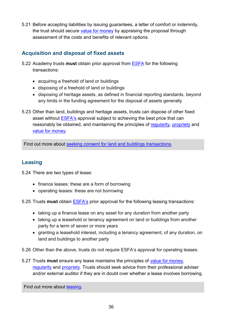5.21 Before accepting liabilities by issuing guarantees, a letter of comfort or indemnity, the trust should secure [value for money](#page-51-0) by appraising the proposal through assessment of the costs and benefits of relevant options.

## <span id="page-35-0"></span>**Acquisition and disposal of fixed assets**

- <span id="page-35-7"></span><span id="page-35-2"></span>5.22 Academy trusts **must** obtain prior approval from [ESFA](http://www.education.gov.uk/kc-enquiry-form) for the following transactions:
	- acquiring a freehold of land or buildings
	- disposing of a freehold of land or buildings
	- disposing of heritage assets, as defined in financial reporting standards, beyond any limits in the funding agreement for the disposal of assets generally
- <span id="page-35-4"></span>5.23 Other than land, buildings and heritage assets, trusts can dispose of other fixed asset without [ESFA](http://www.education.gov.uk/kc-enquiry-form)'s approval subject to achieving the best price that can reasonably be obtained, and maintaining the principles of [regularity,](#page-51-2) [propriety](#page-50-6) and [value for money.](#page-51-0)

Find out more about [seeking consent for land and buildings transactions.](https://www.gov.uk/government/publications/academy-property-transactions)

## <span id="page-35-1"></span>**Leasing**

<span id="page-35-3"></span>5.24 There are two types of lease:

- finance leases: these are a form of borrowing
- operating leases: these are not borrowing

<span id="page-35-8"></span><span id="page-35-5"></span>5.25 Trusts **must** obtain [ESFA's](http://www.education.gov.uk/kc-enquiry-form) prior approval for the following leasing transactions:

- taking up a finance lease on any asset for any duration from another party
- taking up a leasehold or tenancy agreement on land or buildings from another party for a term of seven or more years
- granting a leasehold interest, including a tenancy agreement, of any duration, on land and buildings to another party

<span id="page-35-6"></span>5.26 Other than the above, trusts do not require ESFA's approval for operating leases.

5.27 Trusts **must** ensure any lease maintains the principles of [value for money,](#page-51-0) [regularity](#page-51-2) and [propriety.](#page-50-6) Trusts should seek advice from their professional adviser and/or external auditor if they are in doubt over whether a lease involves borrowing.

Find out more about [leasing.](https://www.gov.uk/government/publications/academy-trust-financial-management-good-practice-guides/leasing-guidance-for-academy-trusts)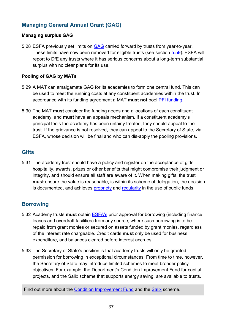## <span id="page-36-0"></span>**Managing General Annual Grant (GAG)**

## **Managing surplus GAG**

<span id="page-36-4"></span>5.28 ESFA previously set limits on [GAG](#page-50-7) carried forward by trusts from year-to-year. These limits have now been removed for eligible trusts (see section [5.59\)](#page-41-0). ESFA will report to DfE any trusts where it has serious concerns about a long-term substantial surplus with no clear plans for its use.

## **Pooling of GAG by MATs**

- <span id="page-36-7"></span><span id="page-36-5"></span>5.29 A MAT can amalgamate GAG for its academies to form one central fund. This can be used to meet the running costs at any constituent academies within the trust. In accordance with its funding agreement a MAT **must not** pool [PFI funding.](#page-50-8)
- <span id="page-36-8"></span>5.30 The MAT **must** consider the funding needs and allocations of each constituent academy, and **must** have an appeals mechanism. If a constituent academy's principal feels the academy has been unfairly treated, they should appeal to the trust. If the grievance is not resolved, they can appeal to the Secretary of State, via ESFA, whose decision will be final and who can dis-apply the pooling provisions.

## <span id="page-36-1"></span>**Gifts**

<span id="page-36-3"></span>5.31 The academy trust should have a policy and register on the acceptance of gifts, hospitality, awards, prizes or other benefits that might compromise their judgment or integrity, and should ensure all staff are aware of it. When making gifts, the trust **must** ensure the value is reasonable, is within its scheme of delegation, the decision is documented, and achieves [propriety](#page-50-6) and [regularity](#page-51-2) in the use of public funds.

## <span id="page-36-2"></span>**Borrowing**

- <span id="page-36-6"></span>5.32 Academy trusts **must** obtain [ESFA](http://www.education.gov.uk/kc-enquiry-form)'s prior approval for borrowing (including finance leases and overdraft facilities) from any source, where such borrowing is to be repaid from grant monies or secured on assets funded by grant monies, regardless of the interest rate chargeable. Credit cards **must** only be used for business expenditure, and balances cleared before interest accrues.
- 5.33 The Secretary of State's position is that academy trusts will only be granted permission for borrowing in exceptional circumstances. From time to time, however, the Secretary of State may introduce limited schemes to meet broader policy objectives. For example, the Department's Condition Improvement Fund for capital projects, and the Salix scheme that supports energy saving, are available to trusts.

Find out more about the [Condition Improvement Fund](https://www.gov.uk/condition-improvement-fund) and the [Salix](http://salixfinance.co.uk/loans/) scheme.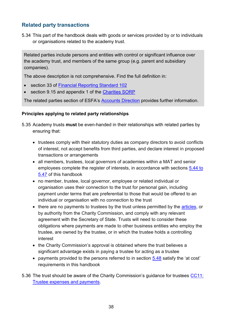## <span id="page-37-0"></span>**Related party transactions**

5.34 This part of the handbook deals with goods or services provided by or to individuals or organisations related to the academy trust.

Related parties include persons and entities with control or significant influence over the academy trust, and members of the same group (e.g. parent and subsidiary companies).

The above description is not comprehensive. Find the full definition in:

- section 33 of [Financial Reporting Standard 102](https://www.frc.org.uk/getattachment/e1d6b167-6cdb-4550-bde3-f94484226fbd/FRS-102-WEB-Ready-2015.pdf)
- section 9.15 and appendix 1 of the [Charities SORP](http://charitiessorp.org/download-a-full-sorp/)

The related parties section of ESFA's [Accounts Direction](https://www.gov.uk/government/publications/academies-accounts-direction) provides further information.

## **Principles applying to related party relationships**

- <span id="page-37-1"></span>5.35 Academy trusts **must** be even-handed in their relationships with related parties by ensuring that:
	- trustees comply with their statutory duties as company directors to avoid conflicts of interest, not accept benefits from third parties, and declare interest in proposed transactions or arrangements
	- all members, trustees, local governors of academies within a MAT and senior employees complete the register of interests, in accordance with sections [5.44 to](#page-39-0)  [5.47](#page-39-0) of this handbook
	- no member, trustee, local governor, employee or related individual or organisation uses their connection to the trust for personal gain, including payment under terms that are preferential to those that would be offered to an individual or organisation with no connection to the trust
	- there are no payments to trustees by the trust unless permitted by the [articles,](#page-49-4) or by authority from the [Charity Commission,](https://www.gov.uk/government/organisations/charity-commission) and comply with any relevant agreement with the Secretary of State. Trusts will need to consider these obligations where payments are made to other business entities who employ the trustee, are owned by the trustee, or in which the trustee holds a controlling interest
	- the [Charity Commission's](https://www.gov.uk/government/organisations/charity-commission) approval is obtained where the trust believes a significant advantage exists in paying a trustee for acting as a trustee
	- payments provided to the persons referred to in section [5.48](#page-39-1) satisfy the 'at cost' requirements in this handbook
- <span id="page-37-3"></span><span id="page-37-2"></span>5.36 The trust should be aware of the Charity Commission's guidance for trustees [CC11:](https://www.gov.uk/government/publications/trustee-expenses-and-payments-cc11)  [Trustee expenses and payments.](https://www.gov.uk/government/publications/trustee-expenses-and-payments-cc11)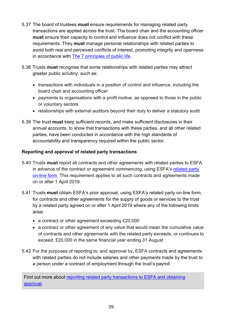- <span id="page-38-2"></span>5.37 The board of trustees **must** ensure requirements for managing related party transactions are applied across the trust. The board chair and the accounting officer **must** ensure their capacity to control and influence does not conflict with these requirements. They **must** manage personal relationships with related parties to avoid both real and perceived conflicts of interest, promoting integrity and openness in accordance with [The 7 principles of public life.](https://www.gov.uk/government/publications/the-7-principles-of-public-life)
- <span id="page-38-3"></span>5.38 Trusts **must** recognise that some relationships with related parties may attract greater public scrutiny, such as:
	- transactions with individuals in a position of control and influence, including the board chair and accounting officer
	- payments to organisations with a profit motive, as opposed to those in the public or voluntary sectors
	- relationships with external auditors beyond their duty to deliver a statutory audit
- 5.39 The trust **must** keep sufficient records, and make sufficient disclosures in their annual accounts, to show that transactions with these parties, and all other related parties, have been conducted in accordance with the high standards of accountability and transparency required within the public sector.

## <span id="page-38-0"></span>**Reporting and approval of related party transactions**

- <span id="page-38-4"></span>5.40 Trusts **must** report all contracts and other agreements with related parties to ESFA in advance of the contract or agreement commencing, using ESFA's related party [on-line form.](https://onlinecollections.des.fasst.org.uk/onlinecollections/) This requirement applies to all such contracts and agreements made on or after 1 April 2019.
- <span id="page-38-1"></span>5.41 Trusts **must** obtain ESFA's prior approval, using ESFA's related party on-line form, for contracts and other agreements for the supply of goods or services to the trust by a related party agreed on or after 1 April 2019 where any of the following limits arise:
	- a contract or other agreement exceeding £20,000
	- a contract or other agreement of any value that would mean the cumulative value of contracts and other agreements with the related party exceeds, or continues to exceed, £20,000 in the same financial year ending 31 August
- 5.42 For the purposes of reporting to, and approval by, ESFA contracts and agreements with related parties do not include salaries and other payments made by the trust to a person under a contract of employment through the trust's payroll.

Find out more about [reporting related party transactions to ESFA and](https://www.gov.uk/government/publications/related-party-transactions-information-for-academy-trusts/declare-or-seek-approval-for-related-party-transactions-summary-guidance#church-schools) obtaining [approval.](https://www.gov.uk/government/publications/related-party-transactions-information-for-academy-trusts/declare-or-seek-approval-for-related-party-transactions-summary-guidance#church-schools)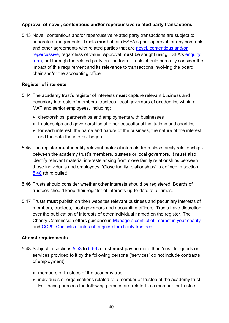## **Approval of novel, contentious and/or repercussive related party transactions**

5.43 Novel, contentious and/or repercussive related party transactions are subject to separate arrangements. Trusts **must** obtain ESFA's prior approval for any contracts and other agreements with related parties that are [novel, contentious and/or](#page-31-2)  [repercussive,](#page-31-2) regardless of value. Approval **must** be sought using ESFA's [enquiry](https://form.education.gov.uk/en/AchieveForms/?form_uri=sandbox-publish://AF-Process-f9f4f5a1-936f-448b-bbeb-9dcdd595f468/AF-Stage-8aa41278-3cdd-45a3-ad87-80cbffb8b992/definition.json&redirectlink=%2Fen&cancelRedirectLink=%2Fen)  [form,](https://form.education.gov.uk/en/AchieveForms/?form_uri=sandbox-publish://AF-Process-f9f4f5a1-936f-448b-bbeb-9dcdd595f468/AF-Stage-8aa41278-3cdd-45a3-ad87-80cbffb8b992/definition.json&redirectlink=%2Fen&cancelRedirectLink=%2Fen) not through the related party on-line form. Trusts should carefully consider the impact of this requirement and its relevance to transactions involving the board chair and/or the accounting officer.

## **Register of interests**

- <span id="page-39-2"></span><span id="page-39-0"></span>5.44 The academy trust's register of interests **must** capture relevant business and pecuniary interests of members, trustees, local governors of academies within a MAT and senior employees, including:
	- directorships, partnerships and employments with businesses
	- trusteeships and governorships at other educational institutions and charities
	- for each interest: the name and nature of the business, the nature of the interest and the date the interest began
- <span id="page-39-3"></span>5.45 The register **must** identify relevant material interests from close family relationships between the academy trust's members, trustees or local governors. It **must** also identify relevant material interests arising from close family relationships between those individuals and employees. 'Close family relationships' is defined in section [5.48](#page-39-1) (third bullet).
- 5.46 Trusts should consider whether other interests should be registered. Boards of trustees should keep their register of interests up-to-date at all times.
- <span id="page-39-4"></span>5.47 Trusts **must** publish on their websites relevant business and pecuniary interests of members, trustees, local governors and accounting officers. Trusts have discretion over the publication of interests of other individual named on the register. The Charity Commission offers guidance in [Manage a conflict of interest in your charity](https://www.gov.uk/guidance/manage-a-conflict-of-interest-in-your-charity) and [CC29: Conflicts of interest: a guide for charity trustees.](https://www.gov.uk/government/publications/conflicts-of-interest-a-guide-for-charity-trustees-cc29)

## **At cost requirements**

- <span id="page-39-1"></span>5.48 Subject to sections [5.53](#page-40-0) to [5.56](#page-41-1) a trust **must** pay no more than 'cost' for goods or services provided to it by the following persons ('services' do not include contracts of employment):
	- members or trustees of the academy trust
	- individuals or organisations related to a member or trustee of the academy trust. For these purposes the following persons are related to a member, or trustee: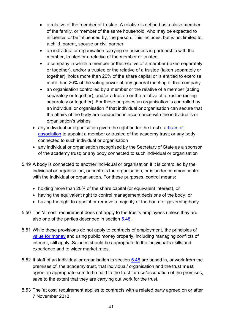- a relative of the member or trustee. A relative is defined as a close member of the family, or member of the same household, who may be expected to influence, or be influenced by, the person. This includes, but is not limited to, a child, parent, spouse or civil partner
- an individual or organisation carrying on business in partnership with the member, trustee or a relative of the member or trustee
- a company in which a member or the relative of a member (taken separately or together), and/or a trustee or the relative of a trustee (taken separately or together), holds more than 20% of the share capital or is entitled to exercise more than 20% of the voting power at any general meeting of that company
- an organisation controlled by a member or the relative of a member (acting separately or together), and/or a trustee or the relative of a trustee (acting separately or together). For these purposes an organisation is controlled by an individual or organisation if that individual or organisation can secure that the affairs of the body are conducted in accordance with the individual's or organisation's wishes
- any individual or organisation given the right under the trust's articles of [association](#page-49-4) to appoint a member or trustee of the academy trust; or any body connected to such individual or organisation
- any individual or organisation recognised by the Secretary of State as a sponsor of the academy trust; or any body connected to such individual or organisation
- 5.49 A body is connected to another individual or organisation if it is controlled by the individual or organisation, or controls the organisation, or is under common control with the individual or organisation. For these purposes, control means:
	- holding more than 20% of the share capital (or equivalent interest), or
	- having the equivalent right to control management decisions of the body, or
	- having the right to appoint or remove a majority of the board or governing body
- 5.50 The 'at cost' requirement does not apply to the trust's employees unless they are also one of the parties described in section [5.48.](#page-39-1)
- 5.51 While these provisions do not apply to contracts of employment, the principles of [value for money](#page-51-0) and using public money properly, including managing conflicts of interest, still apply. Salaries should be appropriate to the individual's skills and experience and to wider market rates.
- 5.52 If staff of an individual or organisation in section [5.48](#page-39-1) are based in, or work from the premises of, the academy trust, that individual/ organisation and the trust **must** agree an appropriate sum to be paid to the trust for use/occupation of the premises, save to the extent that they are carrying out work for the trust.
- <span id="page-40-0"></span>5.53 The 'at cost' requirement applies to contracts with a related party agreed on or after 7 November 2013.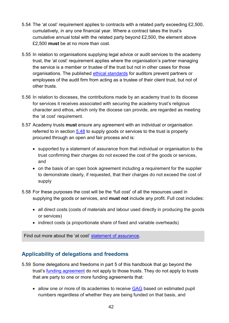- 5.54 The 'at cost' requirement applies to contracts with a related party exceeding £2,500, cumulatively, in any one financial year. Where a contract takes the trust's cumulative annual total with the related party beyond £2,500, the element above £2,500 **must** be at no more than cost.
- 5.55 In relation to organisations supplying legal advice or audit services to the academy trust, the 'at cost' requirement applies where the organisation's partner managing the service is a member or trustee of the trust but not in other cases for those organisations. The published [ethical standards](https://www.frc.org.uk/auditors/audit-assurance/standards-and-guidance) for auditors prevent partners or employees of the audit firm from acting as a trustee of their client trust, but not of other trusts.
- <span id="page-41-1"></span>5.56 In relation to dioceses, the contributions made by an academy trust to its diocese for services it receives associated with securing the academy trust's religious character and ethos, which only the diocese can provide, are regarded as meeting the 'at cost' requirement.
- 5.57 Academy trusts **must** ensure any agreement with an individual or organisation referred to in section [5.48](#page-39-1) to supply goods or services to the trust is properly procured through an open and fair process and is:
	- supported by a statement of assurance from that individual or organisation to the trust confirming their charges do not exceed the cost of the goods or services, and
	- on the basis of an open book agreement including a requirement for the supplier to demonstrate clearly, if requested, that their charges do not exceed the cost of supply
- 5.58 For these purposes the cost will be the **'**full cost' of all the resources used in supplying the goods or services, and **must not** include any profit. Full cost includes:
	- all direct costs (costs of materials and labour used directly in producing the goods or services)
	- indirect costs (a proportionate share of fixed and variable overheads)

<span id="page-41-0"></span>Find out more about the 'at cost' [statement of assurance.](https://www.gov.uk/government/publications/review-of-related-party-transactions-in-academies)

## **Applicability of delegations and freedoms**

- 5.59 Some delegations and freedoms in part 5 of this handbook that go beyond the trust's [funding agreement](#page-50-0) do not apply to those trusts. They do not apply to trusts that are party to one or more funding agreements that:
	- allow one or more of its academies to receive [GAG](#page-50-7) based on estimated pupil numbers regardless of whether they are being funded on that basis, and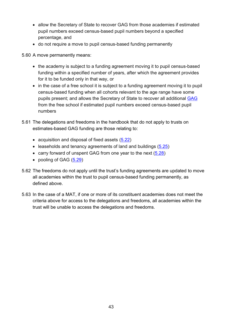- allow the Secretary of State to recover GAG from those academies if estimated pupil numbers exceed census-based pupil numbers beyond a specified percentage, and
- do not require a move to pupil census-based funding permanently

5.60 A move permanently means:

- the academy is subject to a funding agreement moving it to pupil census-based funding within a specified number of years, after which the agreement provides for it to be funded only in that way, or
- in the case of a free school it is subject to a funding agreement moving it to pupil census-based funding when all cohorts relevant to the age range have some pupils present; and allows the Secretary of State to recover all additional [GAG](#page-50-7) from the free school if estimated pupil numbers exceed census-based pupil numbers
- 5.61 The delegations and freedoms in the handbook that do not apply to trusts on estimates-based GAG funding are those relating to:
	- acquisition and disposal of fixed assets [\(5.22\)](#page-35-2)
	- leaseholds and tenancy agreements of land and buildings  $(5.25)$
	- carry forward of unspent GAG from one year to the next [\(5.28\)](#page-36-4)
	- pooling of GAG [\(5.29\)](#page-36-5)
- 5.62 The freedoms do not apply until the trust's funding agreements are updated to move all academies within the trust to pupil census-based funding permanently, as defined above.
- 5.63 In the case of a MAT, if one or more of its constituent academies does not meet the criteria above for access to the delegations and freedoms, all academies within the trust will be unable to access the delegations and freedoms.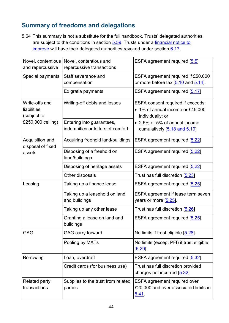# <span id="page-43-0"></span>**Summary of freedoms and delegations**

5.64 This summary is not a substitute for the full handbook. Trusts' delegated authorities are subject to the conditions in section [5.59.](#page-41-0) Trusts under a financial notice to [improve](https://www.gov.uk/government/collections/academies-financial-notices-to-improve) will have their delegated authorities revoked under section [6.17.](#page-46-2)

| Novel, contentious<br>and repercussive       | Novel, contentious and<br>repercussive transactions            | ESFA agreement required [5.5]                                                             |
|----------------------------------------------|----------------------------------------------------------------|-------------------------------------------------------------------------------------------|
| Special payments                             | Staff severance and<br>compensation                            | ESFA agreement required if £50,000<br>or more before tax $[5.10$ and $5.14]$ .            |
|                                              | Ex gratia payments                                             | ESFA agreement required [5.17]                                                            |
| Write-offs and<br>liabilities<br>(subject to | Writing-off debts and losses                                   | ESFA consent required if exceeds:<br>• 1% of annual income or £45,000<br>individually; or |
| £250,000 ceiling)                            | Entering into guarantees,<br>indemnities or letters of comfort | • 2.5% or 5% of annual income<br>cumulatively [5.18 and 5.19]                             |
| Acquisition and<br>disposal of fixed         | Acquiring freehold land/buildings                              | ESFA agreement required [5.22]                                                            |
| assets                                       | Disposing of a freehold on<br>land/buildings                   | ESFA agreement required [5.22]                                                            |
|                                              | Disposing of heritage assets                                   | ESFA agreement required [5.22]                                                            |
|                                              | Other disposals                                                | Trust has full discretion [5.23]                                                          |
| Leasing                                      | Taking up a finance lease                                      | ESFA agreement required [5.25]                                                            |
|                                              | Taking up a leasehold on land<br>and buildings                 | ESFA agreement if lease term seven<br>years or more $[5.25]$ .                            |
|                                              | Taking up any other lease                                      | Trust has full discretion [5.26]                                                          |
|                                              | Granting a lease on land and<br>buildings                      | ESFA agreement required [5.25].                                                           |
| <b>GAG</b>                                   | <b>GAG carry forward</b>                                       | No limits if trust eligible [5.28].                                                       |
|                                              | Pooling by MATs                                                | No limits (except PFI) if trust eligible<br>$[5.29]$ .                                    |
| <b>Borrowing</b>                             | Loan, overdraft                                                | ESFA agreement required [5.32]                                                            |
|                                              | Credit cards (for business use)                                | Trust has full discretion provided<br>charges not incurred [5.32]                         |
| <b>Related party</b><br>transactions         | Supplies to the trust from related<br>parties                  | <b>ESFA agreement required over</b><br>£20,000 and over associated limits in<br>5.41      |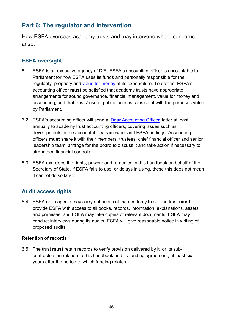# <span id="page-44-0"></span>**Part 6: The regulator and intervention**

How ESFA oversees academy trusts and may intervene where concerns arise.

## <span id="page-44-1"></span>**ESFA oversight**

- 6.1 ESFA is an executive agency of DfE. ESFA's accounting officer is accountable to Parliament for how ESFA uses its funds and personally responsible for the [regularity,](#page-51-2) propriety and [value for money](#page-51-0) of its expenditure. To do this, ESFA's accounting officer **must** be satisfied that academy trusts have appropriate arrangements for sound governance, financial management, value for money and accounting, and that trusts' use of public funds is consistent with the purposes voted by Parliament.
- <span id="page-44-3"></span>6.2 ESFA's accounting officer will send a '[Dear Accounting Officer](https://www.gov.uk/government/collections/academy-trust-accounting-officer-letters-from-efa)' letter at least annually to academy trust accounting officers, covering issues such as developments in the accountability framework and ESFA findings. Accounting officers **must** share it with their members, trustees, chief financial officer and senior leadership team, arrange for the board to discuss it and take action if necessary to strengthen financial controls.
- 6.3 ESFA exercises the rights, powers and remedies in this handbook on behalf of the Secretary of State. If ESFA fails to use, or delays in using, these this does not mean it cannot do so later.

## <span id="page-44-2"></span>**Audit access rights**

<span id="page-44-4"></span>6.4 ESFA or its agents may carry out audits at the academy trust. The trust **must** provide ESFA with access to all books, records, information, explanations, assets and premises, and ESFA may take copies of relevant documents. ESFA may conduct interviews during its audits. ESFA will give reasonable notice in writing of proposed audits.

## **Retention of records**

<span id="page-44-5"></span>6.5 The trust **must** retain records to verify provision delivered by it, or its subcontractors, in relation to this handbook and its funding agreement, at least six years after the period to which funding relates.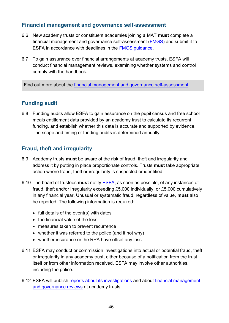## <span id="page-45-0"></span>**Financial management and governance self-assessment**

- <span id="page-45-3"></span>6.6 New academy trusts or constituent academies joining a MAT **must** complete a financial management and governance self-assessment [\(FMGS\)](#page-50-9) and submit it to ESFA in accordance with deadlines in the [FMGS guidance.](https://www.gov.uk/government/publications/academy-financial-management-and-governance-self-assessment-guidance)
- 6.7 To gain assurance over financial arrangements at academy trusts, ESFA will conduct financial management reviews, examining whether systems and control comply with the handbook.

<span id="page-45-1"></span>Find out more about the [financial management and governance self-assessment.](https://www.gov.uk/government/publications/academy-financial-management-and-governance-self-assessment-guidance)

## **Funding audit**

6.8 Funding audits allow ESFA to gain assurance on the pupil census and free school meals entitlement data provided by an academy trust to calculate its recurrent funding, and establish whether this data is accurate and supported by evidence. The scope and timing of funding audits is determined annually.

## <span id="page-45-2"></span>**Fraud, theft and irregularity**

- <span id="page-45-4"></span>6.9 Academy trusts **must** be aware of the risk of fraud, theft and irregularity and address it by putting in place proportionate controls. Trusts **must** take appropriate action where fraud, theft or irregularity is suspected or identified.
- <span id="page-45-5"></span>6.10 The board of trustees **must** notify [ESFA,](http://www.education.gov.uk/kc-enquiry-form) as soon as possible, of any instances of fraud, theft and/or irregularity exceeding £5,000 individually, or £5,000 cumulatively in any financial year. Unusual or systematic fraud, regardless of value, **must** also be reported. The following information is required:
	- full details of the event(s) with dates
	- the financial value of the loss
	- measures taken to prevent recurrence
	- whether it was referred to the police (and if not why)
	- whether insurance or the RPA have offset any loss
- 6.11 ESFA may conduct or commission investigations into actual or potential fraud, theft or irregularity in any academy trust, either because of a notification from the trust itself or from other information received. ESFA may involve other authorities, including the police.
- 6.12 ESFA will publish [reports about its investigations](https://www.gov.uk/government/collections/academies-investigation-reports) and about [financial management](https://www.gov.uk/government/collections/academies-financial-management-and-governance-reviews)  [and governance reviews](https://www.gov.uk/government/collections/academies-financial-management-and-governance-reviews) at academy trusts.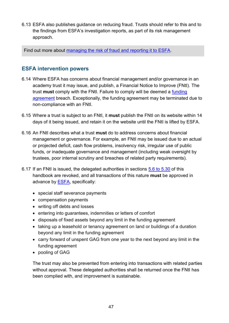6.13 ESFA also publishes guidance on reducing fraud. Trusts should refer to this and to the findings from ESFA's investigation reports, as part of its risk management approach.

Find out more about [managing the risk of fraud and reporting it to ESFA.](https://www.gov.uk/guidance/academies-guide-to-reducing-any-risk-of-financial-irregularities)

## <span id="page-46-0"></span>**ESFA intervention powers**

- <span id="page-46-3"></span>6.14 Where ESFA has concerns about financial management and/or governance in an academy trust it may issue, and publish, a Financial Notice to Improve (FNtI). The trust **must** comply with the FNtI. Failure to comply will be deemed a [funding](#page-50-0)  [agreement](#page-50-0) breach. Exceptionally, the funding agreement may be terminated due to non-compliance with an FNtI.
- <span id="page-46-1"></span>6.15 Where a trust is subject to an FNtI, it **must** publish the FNtI on its website within 14 days of it being issued, and retain it on the website until the FNtI is lifted by ESFA.
- 6.16 An FNtI describes what a trust **must** do to address concerns about financial management or governance. For example, an FNtI may be issued due to an actual or projected deficit, cash flow problems, insolvency risk, irregular use of public funds, or inadequate governance and management (including weak oversight by trustees, poor internal scrutiny and breaches of related party requirements).
- <span id="page-46-2"></span>6.17 If an FNtI is issued, the delegated authorities in sections [5.6 to 5.30](#page-32-0) of this handbook are revoked, and all transactions of this nature **must** be approved in advance by [ESFA,](http://www.education.gov.uk/kc-enquiry-form) specifically:
	- special staff severance payments
	- compensation payments
	- writing off debts and losses
	- entering into guarantees, indemnities or letters of comfort
	- disposals of fixed assets beyond any limit in the funding agreement
	- taking up a leasehold or tenancy agreement on land or buildings of a duration beyond any limit in the funding agreement
	- carry forward of unspent GAG from one year to the next beyond any limit in the funding agreement
	- pooling of GAG

The trust may also be prevented from entering into transactions with related parties without approval. These delegated authorities shall be returned once the FNtI has been complied with, and improvement is sustainable.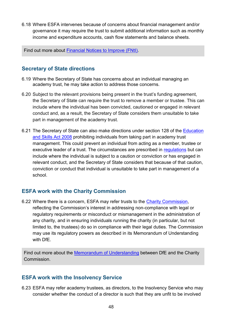6.18 Where ESFA intervenes because of concerns about financial management and/or governance it may require the trust to submit additional information such as monthly income and expenditure accounts, cash flow statements and balance sheets.

Find out more about [Financial Notices to Improve \(FNtI\).](https://www.gov.uk/government/collections/academies-financial-notices-to-improve)

## <span id="page-47-0"></span>**Secretary of State directions**

- 6.19 Where the Secretary of State has concerns about an individual managing an academy trust, he may take action to address those concerns.
- 6.20 Subject to the relevant provisions being present in the trust's funding agreement, the Secretary of State can require the trust to remove a member or trustee. This can include where the individual has been convicted, cautioned or engaged in relevant conduct and, as a result, the Secretary of State considers them unsuitable to take part in management of the academy trust.
- 6.21 The Secretary of State can also make directions under section 128 of the [Education](https://www.legislation.gov.uk/ukpga/2008/25/contents)  [and Skills Act 2008](https://www.legislation.gov.uk/ukpga/2008/25/contents) prohibiting individuals from taking part in academy trust management. This could prevent an individual from acting as a member, trustee or executive leader of a trust. The circumstances are prescribed in [regulations](http://www.legislation.gov.uk/uksi/2014/1977/pdfs/uksi_20141977_en.pdf) but can include where the individual is subject to a caution or conviction or has engaged in relevant conduct, and the Secretary of State considers that because of that caution, conviction or conduct that individual is unsuitable to take part in management of a school.

## <span id="page-47-1"></span>**ESFA work with the Charity Commission**

6.22 Where there is a concern, ESFA may refer trusts to the [Charity Commission,](https://www.gov.uk/government/organisations/charity-commission) reflecting the Commission's interest in addressing non-compliance with legal or regulatory requirements or misconduct or mismanagement in the administration of any charity, and in ensuring individuals running the charity (in particular, but not limited to, the trustees) do so in compliance with their legal duties. The Commission may use its regulatory powers as described in its Memorandum of Understanding with DfE.

Find out more about the [Memorandum of Understanding](https://www.gov.uk/government/publications/memorandum-of-understanding-charity-commission-and-the-department-for-education) between DfE and the Charity Commission.

## <span id="page-47-2"></span>**ESFA work with the Insolvency Service**

6.23 ESFA may refer academy trustees, as directors, to the Insolvency Service who may consider whether the conduct of a director is such that they are unfit to be involved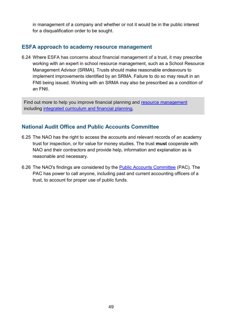in management of a company and whether or not it would be in the public interest for a disqualification order to be sought.

## <span id="page-48-0"></span>**ESFA approach to academy resource management**

6.24 Where ESFA has concerns about financial management of a trust, it may prescribe working with an expert in school resource management, such as a School Resource Management Advisor (SRMA). Trusts should make reasonable endeavours to implement improvements identified by an SRMA. Failure to do so may result in an FNtI being issued. Working with an SRMA may also be prescribed as a condition of an FNtI.

Find out more to help you improve financial planning and [resource management](https://www.gov.uk/government/collections/schools-financial-health-and-efficiency) including [integrated curriculum and financial planning.](https://www.gov.uk/guidance/improving-financial-efficiency-with-curriculum-planning)

## <span id="page-48-1"></span>**National Audit Office and Public Accounts Committee**

- <span id="page-48-2"></span>6.25 The NAO has the right to access the accounts and relevant records of an academy trust for inspection, or for value for money studies. The trust **must** cooperate with NAO and their contractors and provide help, information and explanation as is reasonable and necessary.
- 6.26 The NAO's findings are considered by the [Public Accounts Committee](http://www.parliament.uk/business/committees/committees-a-z/commons-select/public-accounts-committee/role) (PAC). The PAC has power to call anyone, including past and current accounting officers of a trust, to account for proper use of public funds.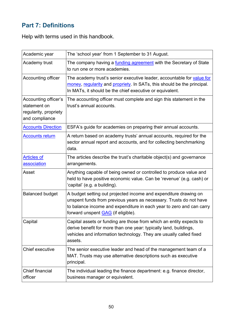# <span id="page-49-0"></span>**Part 7: Definitions**

Help with terms used in this handbook.

<span id="page-49-6"></span><span id="page-49-5"></span><span id="page-49-4"></span><span id="page-49-3"></span><span id="page-49-2"></span><span id="page-49-1"></span>

| Academic year                                                                   | The 'school year' from 1 September to 31 August.                                                                                                                                                                                                            |
|---------------------------------------------------------------------------------|-------------------------------------------------------------------------------------------------------------------------------------------------------------------------------------------------------------------------------------------------------------|
| Academy trust                                                                   | The company having a <b>funding agreement</b> with the Secretary of State<br>to run one or more academies.                                                                                                                                                  |
| Accounting officer                                                              | The academy trust's senior executive leader, accountable for value for<br>money, regularity and propriety. In SATs, this should be the principal.<br>In MATs, it should be the chief executive or equivalent.                                               |
| Accounting officer's<br>statement on<br>regularity, propriety<br>and compliance | The accounting officer must complete and sign this statement in the<br>trust's annual accounts.                                                                                                                                                             |
| <b>Accounts Direction</b>                                                       | ESFA's guide for academies on preparing their annual accounts.                                                                                                                                                                                              |
| <b>Accounts return</b>                                                          | A return based on academy trusts' annual accounts, required for the<br>sector annual report and accounts, and for collecting benchmarking<br>data.                                                                                                          |
| <b>Articles of</b><br>association                                               | The articles describe the trust's charitable object(s) and governance<br>arrangements.                                                                                                                                                                      |
| Asset                                                                           | Anything capable of being owned or controlled to produce value and<br>held to have positive economic value. Can be 'revenue' (e.g. cash) or<br>'capital' (e.g. a building).                                                                                 |
| <b>Balanced budget</b>                                                          | A budget setting out projected income and expenditure drawing on<br>unspent funds from previous years as necessary. Trusts do not have<br>to balance income and expenditure in each year to zero and can carry<br>forward unspent <b>GAG</b> (if eligible). |
| Capital                                                                         | Capital assets or funding are those from which an entity expects to<br>derive benefit for more than one year: typically land, buildings,<br>vehicles and information technology. They are usually called fixed<br>assets.                                   |
| Chief executive                                                                 | The senior executive leader and head of the management team of a<br>MAT. Trusts may use alternative descriptions such as executive<br>principal.                                                                                                            |
| <b>Chief financial</b><br>officer                                               | The individual leading the finance department: e.g. finance director,<br>business manager or equivalent.                                                                                                                                                    |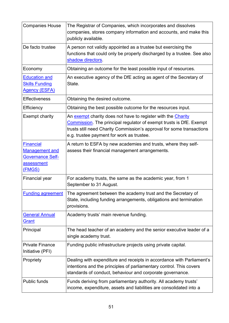<span id="page-50-9"></span><span id="page-50-8"></span><span id="page-50-7"></span><span id="page-50-6"></span><span id="page-50-5"></span><span id="page-50-4"></span><span id="page-50-3"></span><span id="page-50-2"></span><span id="page-50-1"></span><span id="page-50-0"></span>

| <b>Companies House</b>                                                                              | The Registrar of Companies, which incorporates and dissolves<br>companies, stores company information and accounts, and make this<br>publicly available.                                                                                                          |
|-----------------------------------------------------------------------------------------------------|-------------------------------------------------------------------------------------------------------------------------------------------------------------------------------------------------------------------------------------------------------------------|
| De facto trustee                                                                                    | A person not validly appointed as a trustee but exercising the<br>functions that could only be properly discharged by a trustee. See also<br>shadow directors.                                                                                                    |
| Economy                                                                                             | Obtaining an outcome for the least possible input of resources.                                                                                                                                                                                                   |
| <b>Education and</b><br><b>Skills Funding</b><br><b>Agency (ESFA)</b>                               | An executive agency of the DfE acting as agent of the Secretary of<br>State.                                                                                                                                                                                      |
| <b>Effectiveness</b>                                                                                | Obtaining the desired outcome.                                                                                                                                                                                                                                    |
| Efficiency                                                                                          | Obtaining the best possible outcome for the resources input.                                                                                                                                                                                                      |
| Exempt charity                                                                                      | An exempt charity does not have to register with the Charity<br><b>Commission</b> . The principal regulator of exempt trusts is DfE. Exempt<br>trusts still need Charity Commission's approval for some transactions<br>e.g. trustee payment for work as trustee. |
| <b>Financial</b><br><b>Management and</b><br><b>Governance Self-</b><br><b>assessment</b><br>(FMGS) | A return to ESFA by new academies and trusts, where they self-<br>assess their financial management arrangements.                                                                                                                                                 |
| Financial year                                                                                      | For academy trusts, the same as the academic year, from 1<br>September to 31 August.                                                                                                                                                                              |
| <b>Funding agreement</b>                                                                            | The agreement between the academy trust and the Secretary of<br>State, including funding arrangements, obligations and termination<br>provisions.                                                                                                                 |
| <b>General Annual</b><br>Grant                                                                      | Academy trusts' main revenue funding.                                                                                                                                                                                                                             |
| Principal                                                                                           | The head teacher of an academy and the senior executive leader of a<br>single academy trust.                                                                                                                                                                      |
| <b>Private Finance</b><br>Initiative (PFI)                                                          | Funding public infrastructure projects using private capital.                                                                                                                                                                                                     |
| Propriety                                                                                           | Dealing with expenditure and receipts in accordance with Parliament's<br>intentions and the principles of parliamentary control. This covers<br>standards of conduct, behaviour and corporate governance.                                                         |
| <b>Public funds</b>                                                                                 | Funds deriving from parliamentary authority. All academy trusts'<br>income, expenditure, assets and liabilities are consolidated into a                                                                                                                           |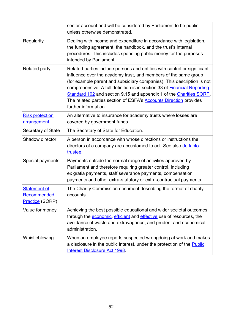<span id="page-51-2"></span><span id="page-51-1"></span><span id="page-51-0"></span>

|                                                       | sector account and will be considered by Parliament to be public<br>unless otherwise demonstrated.                                                                                                                                                                                                                                                                                                                                                                                  |
|-------------------------------------------------------|-------------------------------------------------------------------------------------------------------------------------------------------------------------------------------------------------------------------------------------------------------------------------------------------------------------------------------------------------------------------------------------------------------------------------------------------------------------------------------------|
| Regularity                                            | Dealing with income and expenditure in accordance with legislation,<br>the funding agreement, the handbook, and the trust's internal<br>procedures. This includes spending public money for the purposes<br>intended by Parliament.                                                                                                                                                                                                                                                 |
| <b>Related party</b>                                  | Related parties include persons and entities with control or significant<br>influence over the academy trust, and members of the same group<br>(for example parent and subsidiary companies). This description is not<br>comprehensive. A full definition is in section 33 of <b>Financial Reporting</b><br>Standard 102 and section 9.15 and appendix 1 of the Charities SORP.<br>The related parties section of ESFA's <b>Accounts Direction</b> provides<br>further information. |
| <b>Risk protection</b><br>arrangement                 | An alternative to insurance for academy trusts where losses are<br>covered by government funds.                                                                                                                                                                                                                                                                                                                                                                                     |
| <b>Secretary of State</b>                             | The Secretary of State for Education.                                                                                                                                                                                                                                                                                                                                                                                                                                               |
| Shadow director                                       | A person in accordance with whose directions or instructions the<br>directors of a company are accustomed to act. See also de facto<br>trustee.                                                                                                                                                                                                                                                                                                                                     |
| Special payments                                      | Payments outside the normal range of activities approved by<br>Parliament and therefore requiring greater control, including<br>ex gratia payments, staff severance payments, compensation<br>payments and other extra-statutory or extra-contractual payments.                                                                                                                                                                                                                     |
| <b>Statement of</b><br>Recommended<br>Practice (SORP) | The Charity Commission document describing the format of charity<br>accounts.                                                                                                                                                                                                                                                                                                                                                                                                       |
| Value for money                                       | Achieving the best possible educational and wider societal outcomes<br>through the economic, efficient and effective use of resources, the<br>avoidance of waste and extravagance, and prudent and economical<br>administration.                                                                                                                                                                                                                                                    |
| Whistleblowing                                        | When an employee reports suspected wrongdoing at work and makes<br>a disclosure in the public interest, under the protection of the <b>Public</b><br>Interest Disclosure Act 1998.                                                                                                                                                                                                                                                                                                  |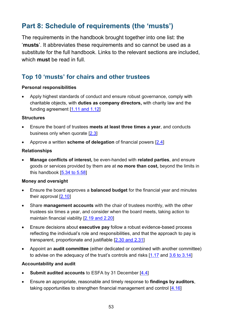# <span id="page-52-0"></span>**Part 8: Schedule of requirements (the 'musts')**

The requirements in the handbook brought together into one list: the '**musts**'. It abbreviates these requirements and so cannot be used as a substitute for the full handbook. Links to the relevant sections are included, which **must** be read in full.

# **Top 10 'musts' for chairs and other trustees**

## **Personal responsibilities**

• Apply highest standards of conduct and ensure robust governance, comply with charitable objects, with **duties as company directors,** with charity law and the funding agreement [\[1.11 and 1.12\]](#page-9-1)

## **Structures**

- Ensure the board of trustees **meets at least three times a year**, and conducts business only when quorate [\[2.3\]](#page-15-3)
- Approve a written **scheme of delegation** of financial powers [\[2.4](#page-15-4)]

## **Relationships**

• **Manage conflicts of interest,** be even-handed with **related parties**, and ensure goods or services provided by them are at **no more than cost,** beyond the limits in this handbook [\[5.34 to 5.58\]](#page-37-0)

## **Money and oversight**

- Ensure the board approves a **balanced budget** for the financial year and minutes their approval [\[2.10\]](#page-16-2)
- Share **management accounts** with the chair of trustees monthly, with the other trustees six times a year, and consider when the board meets, taking action to maintain financial viability [\[2.19 and 2.20\]](#page-17-1)
- Ensure decisions about **executive pay** follow a robust evidence-based process reflecting the individual's role and responsibilities, and that the approach to pay is transparent, proportionate and justifiable [\[2.30 and 2.31\]](#page-19-0)
- Appoint an **audit committee** (either dedicated or combined with another committee) to advise on the adequacy of the trust's controls and risks  $[1.17$  and  $3.6$  to  $3.14]$

## **Accountability and audit**

- **Submit audited accounts** to ESFA by 31 December [\[4.4\]](#page-28-3)
- Ensure an appropriate, reasonable and timely response to **findings by auditors**, taking opportunities to strengthen financial management and control [\[4.16\]](#page-30-0)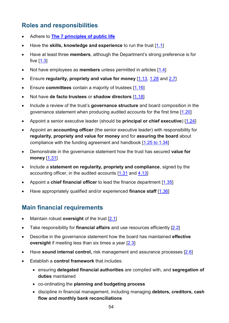# **Roles and responsibilities**

- Adhere to **[The 7 principles of public life](#page-6-1)**
- Have the **skills, knowledge and experience** to run the trust [\[1.1\]](#page-8-2)
- Have at least three **members**, although the Department's strong preference is for five [\[1.3\]](#page-8-3)
- Not have employees as **members** unless permitted in articles [\[1.4\]](#page-8-4)
- Ensure **regularity, propriety and value for money** [\[1.13,](#page-10-0) [1.28](#page-12-1) and [2.7\]](#page-16-3)
- Ensure **committees** contain a majority of trustees [\[1.16\]](#page-11-1)
- Not have **de facto trustees** or **shadow directors** [\[1.18\]](#page-11-2)
- Include a review of the trust's **governance structure** and board composition in the governance statement when producing audited accounts for the first time [\[1.20\]](#page-11-3)
- Appoint a senior executive leader (should be **principal or chief executive**) [\[1.24\]](#page-12-2)
- Appoint an **accounting officer** (the senior executive leader) with responsibility for **regularity, propriety and value for money** and for **assuring the board** about compliance with the funding agreement and handbook [\[1.25](#page-12-3) to 1.34]
- Demonstrate in the governance statement how the trust has secured **value for money** [\[1.31\]](#page-13-1)
- Include a **statement on regularity, propriety and compliance**, signed by the accounting officer, in the audited accounts [\[1.31](#page-13-1) and [4.13\]](#page-29-1)
- Appoint a **chief financial officer** to lead the finance department [\[1.35\]](#page-13-2)
- Have appropriately qualified and/or experienced **finance staff** [\[1.36\]](#page-13-3)

# **Main financial requirements**

- Maintain robust **oversight** of the trust [\[2.1\]](#page-15-5)
- Take responsibility for **financial affairs** and use resources efficiently [\[2.2\]](#page-15-6)
- Describe in the governance statement how the board has maintained **effective oversight** if meeting less than six times a year [\[2.3\]](#page-15-7)
- Have **sound internal control,** risk management and assurance processes [\[2.6\]](#page-15-8)
- Establish a **control framework** that includes:
	- ensuring **delegated financial authorities** are complied with, and **segregation of duties** maintained
	- co-ordinating the **planning and budgeting process**
	- discipline in financial management, including managing **debtors, creditors, cash flow and monthly bank reconciliations**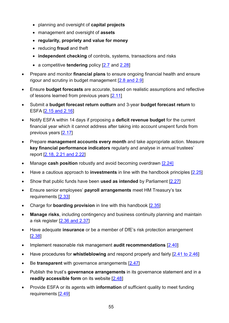- planning and oversight of **capital projects**
- management and oversight of **assets**
- **regularity, propriety and value for money**
- reducing **fraud** and theft
- **independent checking** of controls, systems, transactions and risks
- a competitive **tendering** policy [\[2.7](#page-15-9) and [2.28\]](#page-18-1)
- Prepare and monitor **financial plans** to ensure ongoing financial health and ensure rigour and scrutiny in budget management  $[2.8 \text{ and } 2.9]$
- Ensure **budget forecasts** are accurate, based on realistic assumptions and reflective of lessons learned from previous years [\[2.11\]](#page-16-5)
- Submit a **budget forecast return outturn** and 3-year **budget forecast return** to ESFA [\[2.15 and 2.16\]](#page-17-2)
- Notify ESFA within 14 days if proposing a **deficit revenue budget** for the current financial year which it cannot address after taking into account unspent funds from previous years [\[2.17\]](#page-17-3)
- Prepare **management accounts every month** and take appropriate action. Measure **key financial performance indicators** regularly and analyse in annual trustees' report [\[2.18, 2.21 and 2.22\]](#page-17-4)
- Manage **cash position** robustly and avoid becoming overdrawn [\[2.24\]](#page-18-2)
- Have a cautious approach to **investments** in line with the handbook principles [\[2.25\]](#page-18-3)
- Show that public funds have been **used as intended** by Parliament [\[2.27\]](#page-18-4)
- Ensure senior employees' **payroll arrangements** meet HM Treasury's tax requirements [\[2.33\]](#page-19-2)
- Charge for **boarding provision** in line with this handbook [\[2.35\]](#page-20-3)
- **Manage risks**, including contingency and business continuity planning and maintain a risk register [\[2.36 and 2.37\]](#page-20-2)
- Have adequate **insurance** or be a member of DfE's risk protection arrangement [\[2.38\]](#page-21-1)
- Implement reasonable risk management **audit recommendations** [\[2.40\]](#page-21-2)
- Have procedures for **whistleblowing** and respond properly and fairly [\[2.41 to 2.46\]](#page-21-0)
- Be **transparent** with governance arrangements [\[2.47\]](#page-22-2)
- Publish the trust's **governance arrangements** in its governance statement and in a **readily accessible form** on its website [\[2.48\]](#page-22-3)
- Provide ESFA or its agents with **information** of sufficient quality to meet funding requirements [\[2.49\]](#page-22-4)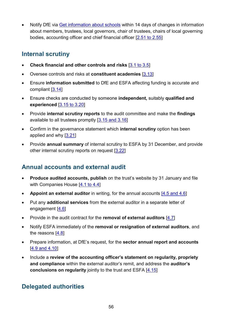• Notify DfE via [Get information about schools](https://get-information-schools.service.gov.uk/) within 14 days of changes in information about members, trustees, local governors, chair of trustees, chairs of local governing bodies, accounting officer and chief financial officer [\[2.51 to 2.55\]](#page-23-1)

# **Internal scrutiny**

- **Check financial and other controls and risks** [\[3.1 to 3.5\]](#page-24-5)
- Oversee controls and risks at **constituent academies** [\[3.13\]](#page-26-2)
- Ensure **information submitted** to DfE and ESFA affecting funding is accurate and compliant [\[3.14\]](#page-26-3)
- Ensure checks are conducted by someone **independent,** suitably **qualified and experienced** [\[3.15 to 3.20\]](#page-26-4)
- Provide **internal scrutiny reports** to the audit committee and make the **findings**  available to all trustees promptly [\[3.15 and 3.16\]](#page-26-5)
- Confirm in the governance statement which **internal scrutiny** option has been applied and why [\[3.21\]](#page-27-0)
- Provide **annual summary** of internal scrutiny to ESFA by 31 December, and provide other internal scrutiny reports on request [\[3.22\]](#page-27-1)

## **Annual accounts and external audit**

- **Produce audited accounts, publish** on the trust's website by 31 January and file with Companies House [\[4.1 to 4.4\]](#page-28-4)
- **Appoint an external auditor** in writing, for the annual accounts [\[4.5 and 4.6\]](#page-28-5)
- Put any **additional services** from the external auditor in a separate letter of engagement [\[4.6\]](#page-28-6)
- Provide in the audit contract for the **removal of external auditors** [\[4.7\]](#page-29-2)
- Notify ESFA immediately of the **removal or resignation of external auditors**, and the reasons [\[4.8\]](#page-29-3)
- Prepare information, at DfE's request, for the **sector annual report and accounts** [\[4.9 and 4.10\]](#page-29-4)
- Include a **review of the accounting officer's statement on regularity, propriety and compliance** within the external auditor's remit, and address the **auditor's conclusions on regularity** jointly to the trust and ESFA [\[4.15\]](#page-30-1)

# **Delegated authorities**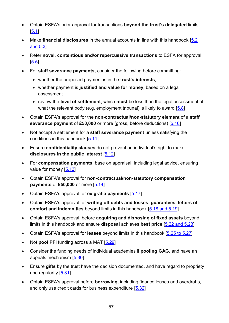- Obtain ESFA's prior approval for transactions **beyond the trust's delegated** limits [\[5.1\]](#page-31-3)
- Make **financial disclosures** in the annual accounts in line with this handbook [\[5.2](#page-31-4)  [and 5.3\]](#page-31-4)
- Refer **novel, contentious and/or repercussive transactions** to ESFA for approval [\[5.5\]](#page-31-2)
- For **staff severance payments**, consider the following before committing:
	- whether the proposed payment is in the **trust's interests**;
	- whether payment is **justified and value for money**, based on a legal assessment
	- review the **level of settlement**, which **must** be less than the legal assessment of what the relevant body (e.g. employment tribunal) is likely to award  $[5.8]$
- Obtain ESFA's approval for the **non-contractual/non-statutory element** of a **staff severance payment** of £50,000 or more (gross, before deductions) [\[5.10\]](#page-33-3)
- Not accept a settlement for a **staff severance payment** unless satisfying the conditions in this handbook [\[5.11\]](#page-33-4)
- Ensure **confidentiality clauses** do not prevent an individual's right to make **disclosures in the public interest** [\[5.12\]](#page-33-5)
- For **compensation payments**, base on appraisal, including legal advice, ensuring value for money [\[5.13\]](#page-33-6)
- Obtain ESFA's approval for **non-contractual/non-statutory compensation payments** of £50,000 or more [\[5.14\]](#page-33-2)
- Obtain ESFA's approval for **ex gratia payments** [\[5.17\]](#page-34-3)
- Obtain ESFA's approval for **writing off debts and losses**, **guarantees, letters of comfort and indemnities** beyond limits in this handbook [\[5.18 and 5.19\]](#page-34-4)
- Obtain ESFA's approval, before **acquiring and disposing of fixed assets** beyond limits in this handbook and ensure **disposal** achieves **best price** [\[5.22 and 5.23\]](#page-35-7)
- Obtain ESFA's approval for **leases** beyond limits in this handbook [\[5.25 to 5.27\]](#page-35-8)
- Not **pool PFI** funding across a MAT [\[5.29\]](#page-36-7)
- Consider the funding needs of individual academies if **pooling GAG**, and have an appeals mechanism [\[5.30\]](#page-36-8)
- Ensure **gifts** by the trust have the decision documented, and have regard to propriety and regularity [\[5.31\]](#page-36-3)
- Obtain ESFA's approval before **borrowing**, including finance leases and overdrafts, and only use credit cards for business expenditure [\[5.32\]](#page-36-6)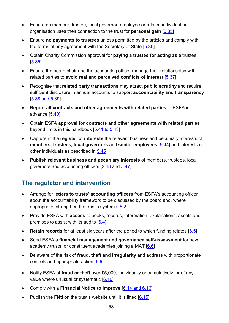- Ensure no member, trustee, local governor, employee or related individual or organisation uses their connection to the trust for **personal gain** [\[5.35\]](#page-37-1)
- Ensure **no payments to trustees** unless permitted by the articles and comply with the terms of any agreement with the Secretary of State [\[5.35\]](#page-37-2)
- Obtain Charity Commission approval for **paying a trustee for acting as a** trustee [\[5.35\]](#page-37-3)
- Ensure the board chair and the accounting officer manage their relationships with related parties to **avoid real and perceived conflicts of interest** [\[5.37\]](#page-38-2)
- Recognise that **related party transactions** may attract **public scrutiny** and require sufficient disclosure in annual accounts to support **accountability and transparency** [\[5.38 and 5.39\]](#page-38-3)
- **Report all contracts and other agreements with related parties** to ESFA in advance [\[5.40\]](#page-38-4)
- Obtain ESFA **approval for contracts and other agreements with related parties** beyond limits in this handbook [\[5.41 to 5.43\]](#page-38-1)
- Capture in the **register of interests** the relevant business and pecuniary interests of **members, trustees, local governors** and **senior employees** [\[5.44\]](#page-39-2) and interests of other individuals as described in [5.45](#page-39-3)
- **Publish relevant business and pecuniary interests** of members, trustees, local governors and accounting officers [\[2.48](#page-22-5) and [5.47\]](#page-39-4)

# **The regulator and intervention**

- Arrange for **letters to trusts' accounting officers** from ESFA's accounting officer about the accountability framework to be discussed by the board and, where appropriate, strengthen the trust's systems  $[6.2]$
- Provide ESFA with **access** to books, records, information, explanations, assets and premises to assist with its audits [\[6.4\]](#page-44-4)
- **Retain records** for at least six years after the period to which funding relates [\[6.5\]](#page-44-5)
- Send ESFA a **financial management and governance self-assessment** for new academy trusts, or constituent academies joining a MAT [\[6.6\]](#page-45-3)
- Be aware of the risk of **fraud, theft and irregularity** and address with proportionate controls and appropriate action [\[6.9\]](#page-45-4)
- Notify ESFA of **fraud or theft** over £5,000, individually or cumulatively, or of any value where unusual or systematic [\[6.10\]](#page-45-5)
- Comply with a **Financial Notice to Improve** [\[6.14 and 6.16\]](#page-46-3)
- Publish the **FNtI** on the trust's website until it is lifted [\[6.15\]](#page-46-1)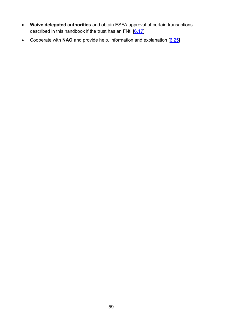- **Waive delegated authorities** and obtain ESFA approval of certain transactions described in this handbook if the trust has an FNtI [\[6.17\]](#page-46-2)
- Cooperate with **NAO** and provide help, information and explanation [\[6.25\]](#page-48-2)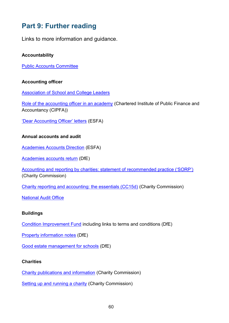# <span id="page-59-0"></span>**Part 9: Further reading**

Links to more information and guidance.

## **Accountability**

[Public Accounts Committee](http://www.parliament.uk/business/committees/committees-a-z/commons-select/public-accounts-committee/role)

## **Accounting officer**

[Association of School and College Leaders](http://www.ascl.org.uk/)

[Role of the accounting officer in an academy](https://www.cipfa.org/cipfa-thinks/academies) (Chartered Institute of Public Finance and Accountancy (CIPFA))

['Dear Accounting Officer' letters](https://www.gov.uk/government/collections/academy-trust-accounting-officer-letters-from-efa) (ESFA)

## **Annual accounts and audit**

[Academies Accounts Direction](https://www.gov.uk/government/publications/academies-accounts-direction) (ESFA)

[Academies accounts return](https://www.gov.uk/government/publications/academies-august-accounts-return-template-and-guide) (DfE)

[Accounting and reporting by charities: statement of recommended practice \('SORP'\)](http://charitiessorp.org/) (Charity Commission)

[Charity reporting and accounting: the essentials \(CC15d\)](https://www.gov.uk/government/publications/charity-reporting-and-accounting-the-essentials-november-2016-cc15d) (Charity Commission)

[National Audit Office](http://www.nao.org.uk/about_us.aspx)

## **Buildings**

[Condition Improvement Fund](https://www.gov.uk/guidance/condition-improvement-fund) including links to terms and conditions (DfE)

[Property information notes](https://www.gov.uk/government/publications/academy-property-transactions) (DfE)

[Good estate management for schools](https://www.gov.uk/guidance/good-estate-management-for-schools) (DfE)

## **Charities**

[Charity publications and information](https://www.gov.uk/government/organisations/charity-commission/about/publication-scheme) (Charity Commission)

[Setting up and running a charity](https://www.gov.uk/running-charity) (Charity Commission)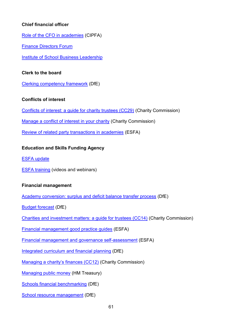## **Chief financial officer**

[Role of the CFO in academies](https://www.cipfa.org/cipfa-thinks/academies) (CIPFA)

[Finance Directors Forum](http://www.thefdforum.co.uk/)

[Institute of School Business Leadership](https://isbl.org.uk/)

## **Clerk to the board**

[Clerking competency framework](https://www.gov.uk/government/publications/governance-handbook) (DfE)

## **Conflicts of interest**

[Conflicts of interest: a guide for charity trustees \(CC29\)](https://www.gov.uk/government/publications/conflicts-of-interest-a-guide-for-charity-trustees-cc29) (Charity Commission)

[Manage a conflict of interest in your charity](https://www.gov.uk/guidance/manage-a-conflict-of-interest-in-your-charity) (Charity Commission)

[Review of related party transactions in academies](https://www.gov.uk/government/publications/review-of-related-party-transactions-in-academies) (ESFA)

## **Education and Skills Funding Agency**

[ESFA update](https://www.gov.uk/government/collections/skills-funding-agency-update)

ESFA [training](https://www.youtube.com/channel/UCROOCs9OvIwqFOy5_E0Jtfg/videos) (videos and webinars)

## **Financial management**

[Academy conversion: surplus and deficit](https://www.gov.uk/government/publications/academy-conversion-surplus-and-deficit-balance-transfer-process) balance transfer process (DfE)

[Budget forecast](https://www.gov.uk/academies-financial-returns) (DfE)

[Charities and investment matters: a guide for trustees \(CC14\)](https://www.gov.uk/government/publications/charities-and-investment-matters-a-guide-for-trustees-cc14) (Charity Commission)

[Financial management good practice guides](https://www.gov.uk/government/publications/academy-trust-financial-management-good-practice-guides) (ESFA)

[Financial management and governance self-assessment](https://www.gov.uk/government/publications/academy-financial-management-and-governance-self-assessment-guidance) (ESFA)

[Integrated curriculum and financial planning](https://www.gov.uk/guidance/improving-financial-efficiency-with-curriculum-planning) (DfE)

[Managing a charity's finances \(CC12\)](https://www.gov.uk/government/publications/managing-financial-difficulties-insolvency-in-charities-cc12/managing-financial-difficulties-insolvency-in-charities) (Charity Commission)

[Managing public money](https://www.gov.uk/government/publications/managing-public-money) (HM Treasury)

[Schools financial benchmarking](http://www.education.gov.uk/afb) (DfE)

[School resource management](https://www.gov.uk/government/collections/schools-financial-health-and-efficiency) (DfE)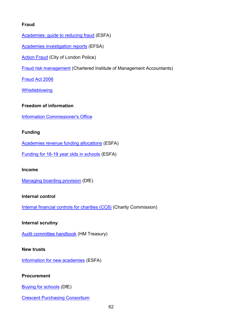## **Fraud**

[Academies: guide to reducing fraud](https://www.gov.uk/guidance/academies-guide-to-reducing-any-risk-of-financial-irregularities) (ESFA)

[Academies investigation reports](https://www.gov.uk/government/collections/academies-investigation-reports) (EFSA)

Action Fraud [\(City of London Police\)](http://www.actionfraud.police.uk/charities)

[Fraud risk management](http://www.cimaglobal.com/Documents/ImportedDocuments/cid_techguide_fraud_risk_management_feb09.pdf.pdf) (Chartered Institute of Management Accountants)

[Fraud Act 2006](http://www.legislation.gov.uk/ukpga/2006/35/contents)

**[Whistleblowing](https://www.gov.uk/whistleblowing)** 

## **Freedom of information**

[Information Commissioner's Office](https://ico.org.uk/)

## **Funding**

[Academies revenue funding](https://www.gov.uk/guidance/academies-funding-allocations) allocations (ESFA)

[Funding for 16-19 year olds in schools](https://www.gov.uk/education/funding-for-16-to-19-year-olds-in-schools) (ESFA)

## **Income**

[Managing boarding provision](https://www.gov.uk/government/publications/state-funded-boarding-school-provision-management-and-charges) (DfE)

## **Internal control**

[Internal financial controls for charities \(CC8\)](https://www.gov.uk/government/publications/internal-financial-controls-for-charities-cc8) (Charity Commission)

## **Internal scrutiny**

[Audit committee handbook](https://www.gov.uk/government/publications/audit-committee-handbook) (HM Treasury)

## **New trusts**

[Information for new academies](https://www.gov.uk/information-for-new-academies) (ESFA)

## **Procurement**

[Buying for schools](https://www.gov.uk/guidance/buying-for-schools) (DfE)

**[Crescent Purchasing Consortium](http://www.thecpc.ac.uk/)**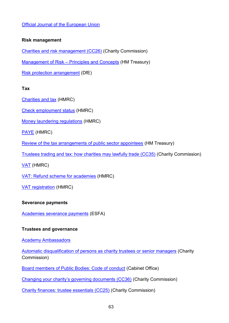## [Official Journal of the European Union](http://www.ojec.com/Threshholds.aspx)

## **Risk management**

[Charities and risk management \(CC26\)](https://www.gov.uk/government/publications/charities-and-risk-management-cc26) (Charity Commission)

Management of Risk – [Principles and Concepts](https://www.gov.uk/government/publications/orange-book) (HM Treasury)

[Risk protection arrangement](https://www.gov.uk/academies-risk-protection-arrangement-rpa) (DfE)

## **Tax**

[Charities and tax](http://www.hmrc.gov.uk/ct/clubs-charities-agents/charities.htm) (HMRC)

[Check employment status](http://www.hmrc.gov.uk/calcs/esi.htm) (HMRC)

[Money laundering regulations](http://www.hmrc.gov.uk/mlr/getstarted/intro.htm) (HMRC)

[PAYE](http://www.hmrc.gov.uk/employers/index.shtml) (HMRC)

[Review of the tax arrangements of public sector appointees](https://www.gov.uk/government/publications/review-of-the-tax-arrangements-of-public-sector-appointees) (HM Treasury)

[Trustees trading and tax: how charities may lawfully trade \(CC35\)](https://www.gov.uk/government/publications/trustees-trading-and-tax-how-charities-may-lawfully-trade-cc35) (Charity Commission)

[VAT](http://www.hmrc.gov.uk/vat/start/register/) (HMRC)

[VAT: Refund scheme for academies](http://webarchive.nationalarchives.gov.uk/20130127134657/http:/customs.hmrc.gov.uk/channelsPortalWebApp/channelsPortalWebApp.portal?_nfpb=true&_pageLabel=pageLibrary_PublicNoticesAndInfoSheets&propertyType=document&columns=1&id=HMCE_PROD1_031401) (HMRC)

[VAT registration](http://www.hmrc.gov.uk/vat/start/register/waiting.htm) (HMRC)

## **Severance payments**

[Academies severance payments](https://www.gov.uk/academies-severance-payments) (ESFA)

## **Trustees and governance**

[Academy Ambassadors](https://www.academyambassadors.org/)

[Automatic disqualification of persons as charity trustees or senior managers](https://www.gov.uk/guidance/automatic-disqualification-rule-changes-guidance-for-charities) (Charity Commission)

[Board members of Public Bodies: Code of conduct](https://www.gov.uk/government/publications/board-members-of-public-bodies-code-of-conduct) (Cabinet Office)

[Changing your charity's governing documents \(CC36\)](https://www.gov.uk/government/publications/changing-your-charitys-governing-document-cc36) (Charity Commission)

[Charity finances: trustee essentials \(CC25\)](https://www.gov.uk/government/publications/managing-charity-assets-and-resources-cc25) (Charity Commission)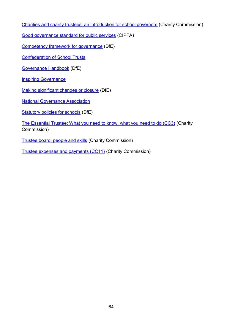[Charities and charity trustees: an introduction for school governors](https://www.gov.uk/government/publications/charities-and-charity-trustees-school-governors) (Charity Commission)

[Good governance standard for public services](https://www.cipfa.org/policy-and-guidance/reports/good-governance-standard-for-public-services) (CIPFA)

[Competency framework for governance](https://www.gov.uk/government/publications/governance-handbook) (DfE)

[Confederation of School Trusts](https://cstuk.org.uk/about-cst/)

[Governance Handbook](https://www.gov.uk/government/publications/governance-handbook) (DfE)

[Inspiring Governance](https://www.inspiringgovernance.org/)

[Making significant changes or closure](https://www.gov.uk/government/publications/making-significant-changes-to-an-existing-academy) (DfE)

[National Governance](http://www.nga.org.uk/Home.aspx) Association

[Statutory policies for schools](https://www.gov.uk/government/uploads/system/uploads/attachment_data/file/357068/statutory_schools_policies_Sept_14_FINAL.pdf) (DfE)

[The Essential Trustee: What you need to know, what you need to do \(CC3\)](https://www.gov.uk/government/publications/the-essential-trustee-what-you-need-to-know-cc3) (Charity Commission)

[Trustee board: people and skills](https://www.gov.uk/guidance/trustee-board-people-and-skills) (Charity Commission)

[Trustee expenses and payments \(CC11\)](https://www.gov.uk/government/publications/trustee-expenses-and-payments-cc11) (Charity Commission)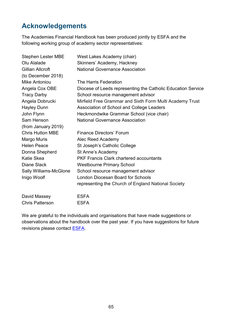# <span id="page-64-0"></span>**Acknowledgements**

The Academies Financial Handbook has been produced jointly by ESFA and the following working group of academy sector representatives:

| <b>Stephen Lester MBE</b>     | West Lakes Academy (chair)                                   |
|-------------------------------|--------------------------------------------------------------|
| Olu Alalade                   | Skinners' Academy, Hackney                                   |
| Gillian Allcroft              | <b>National Governance Association</b>                       |
| (to December 2018)            |                                                              |
| <b>Mike Antoniou</b>          | The Harris Federation                                        |
| Angela Cox OBE                | Diocese of Leeds representing the Catholic Education Service |
| <b>Tracy Darby</b>            | School resource management advisor                           |
| Angela Dobrucki               | Mirfield Free Grammar and Sixth Form Multi Academy Trust     |
| <b>Hayley Dunn</b>            | Association of School and College Leaders                    |
| John Flynn                    | Heckmondwike Grammar School (vice chair)                     |
| Sam Henson                    | <b>National Governance Association</b>                       |
| (from January 2019)           |                                                              |
| <b>Chris Hutton MBE</b>       | <b>Finance Directors' Forum</b>                              |
| Margo Muris                   | Alec Reed Academy                                            |
| <b>Helen Peace</b>            | St Joseph's Catholic College                                 |
| Donna Shepherd                | St Anne's Academy                                            |
| <b>Katie Skea</b>             | <b>PKF Francis Clark chartered accountants</b>               |
| <b>Diane Slack</b>            | <b>Westbourne Primary School</b>                             |
| <b>Sally Williams-McGlone</b> | School resource management advisor                           |
| Inigo Woolf                   | London Diocesan Board for Schools                            |
|                               | representing the Church of England National Society          |
| David Massey                  | <b>ESFA</b>                                                  |

Chris Patterson ESFA

We are grateful to the individuals and organisations that have made suggestions or observations about the handbook over the past year. If you have suggestions for future revisions please contact **ESFA**.